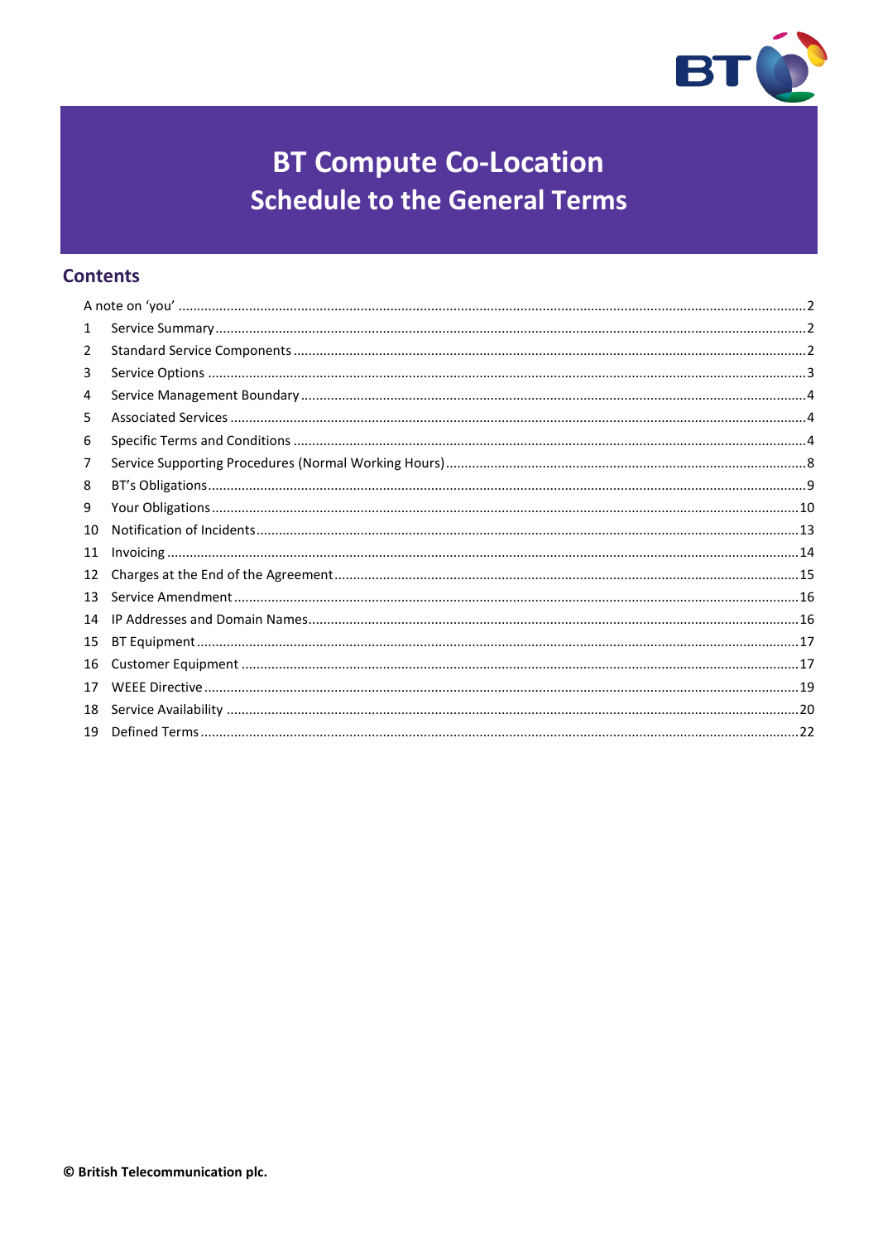

# **BT Compute Co-Location Schedule to the General Terms**

# **Contents**

| 1  |  |
|----|--|
| 2  |  |
| 3  |  |
| 4  |  |
| 5  |  |
| 6  |  |
| 7  |  |
| 8  |  |
| 9  |  |
| 10 |  |
| 11 |  |
| 12 |  |
| 13 |  |
| 14 |  |
| 15 |  |
| 16 |  |
| 17 |  |
| 18 |  |
| 19 |  |
|    |  |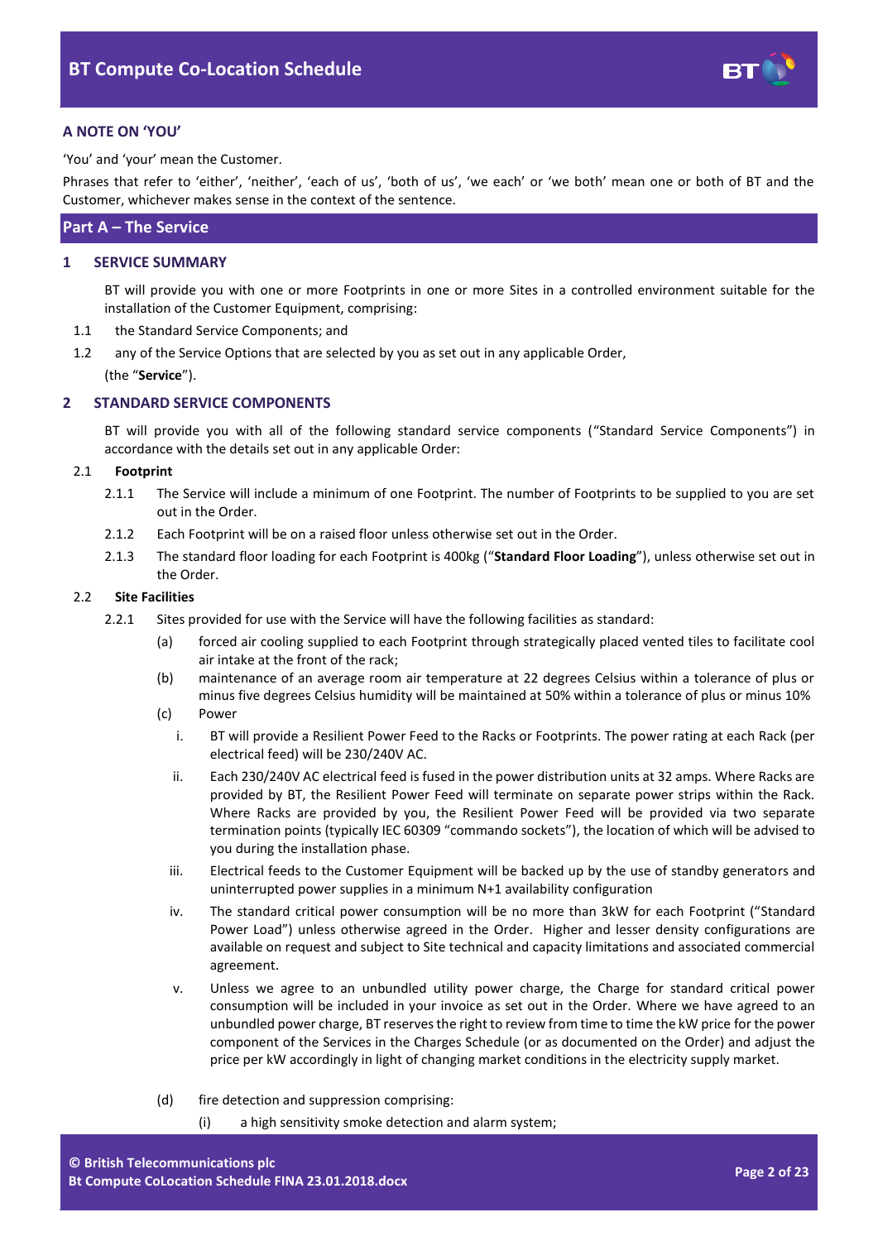

## <span id="page-1-0"></span>**A NOTE ON 'YOU'**

'You' and 'your' mean the Customer.

Phrases that refer to 'either', 'neither', 'each of us', 'both of us', 'we each' or 'we both' mean one or both of BT and the Customer, whichever makes sense in the context of the sentence.

## **Part A – The Service**

## <span id="page-1-1"></span>**1 SERVICE SUMMARY**

BT will provide you with one or more Footprints in one or more Sites in a controlled environment suitable for the installation of the Customer Equipment, comprising:

- 1.1 the Standard Service Components; and
- 1.2 any of the Service Options that are selected by you as set out in any applicable Order,

(the "**Service**").

### <span id="page-1-2"></span>**2 STANDARD SERVICE COMPONENTS**

BT will provide you with all of the following standard service components ("Standard Service Components") in accordance with the details set out in any applicable Order:

#### 2.1 **Footprint**

- 2.1.1 The Service will include a minimum of one Footprint. The number of Footprints to be supplied to you are set out in the Order.
- 2.1.2 Each Footprint will be on a raised floor unless otherwise set out in the Order.
- 2.1.3 The standard floor loading for each Footprint is 400kg ("**Standard Floor Loading**"), unless otherwise set out in the Order.

#### <span id="page-1-4"></span>2.2 **Site Facilities**

- <span id="page-1-5"></span><span id="page-1-3"></span>2.2.1 Sites provided for use with the Service will have the following facilities as standard:
	- (a) forced air cooling supplied to each Footprint through strategically placed vented tiles to facilitate cool air intake at the front of the rack;
	- (b) maintenance of an average room air temperature at 22 degrees Celsius within a tolerance of plus or minus five degrees Celsius humidity will be maintained at 50% within a tolerance of plus or minus 10%
	- (c) Power
		- i. BT will provide a Resilient Power Feed to the Racks or Footprints. The power rating at each Rack (per electrical feed) will be 230/240V AC.
		- ii. Each 230/240V AC electrical feed is fused in the power distribution units at 32 amps. Where Racks are provided by BT, the Resilient Power Feed will terminate on separate power strips within the Rack. Where Racks are provided by you, the Resilient Power Feed will be provided via two separate termination points (typically IEC 60309 "commando sockets"), the location of which will be advised to you during the installation phase.
		- iii. Electrical feeds to the Customer Equipment will be backed up by the use of standby generators and uninterrupted power supplies in a minimum N+1 availability configuration
		- iv. The standard critical power consumption will be no more than 3kW for each Footprint ("Standard Power Load") unless otherwise agreed in the Order. Higher and lesser density configurations are available on request and subject to Site technical and capacity limitations and associated commercial agreement.
		- v. Unless we agree to an unbundled utility power charge, the Charge for standard critical power consumption will be included in your invoice as set out in the Order. Where we have agreed to an unbundled power charge, BT reserves the right to review from time to time the kW price for the power component of the Services in the Charges Schedule (or as documented on the Order) and adjust the price per kW accordingly in light of changing market conditions in the electricity supply market.
	- (d) fire detection and suppression comprising:
		- (i) a high sensitivity smoke detection and alarm system;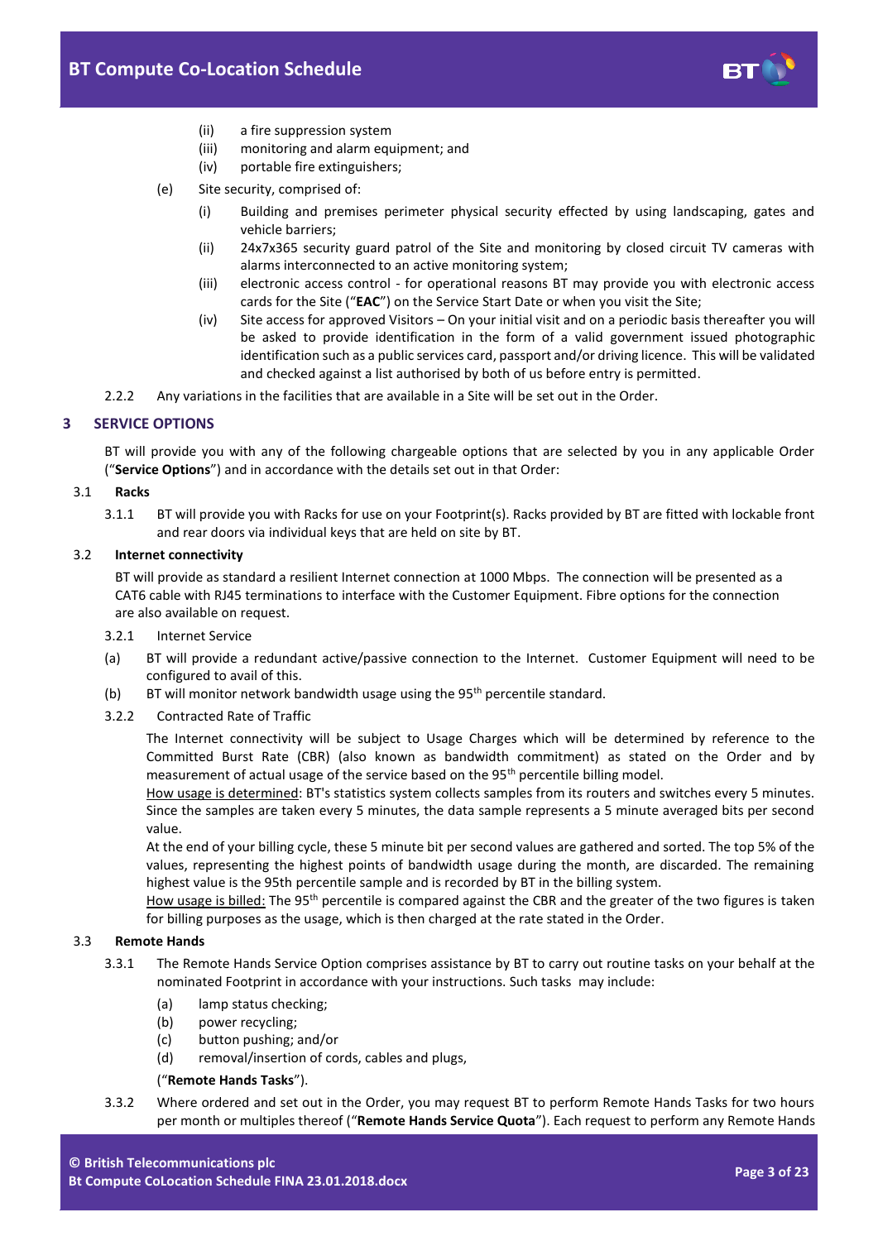

- (ii) a fire suppression system
- (iii) monitoring and alarm equipment; and
- (iv) portable fire extinguishers;
- (e) Site security, comprised of:
	- (i) Building and premises perimeter physical security effected by using landscaping, gates and vehicle barriers;
	- (ii) 24x7x365 security guard patrol of the Site and monitoring by closed circuit TV cameras with alarms interconnected to an active monitoring system;
	- (iii) electronic access control for operational reasons BT may provide you with electronic access cards for the Site ("**EAC**") on the Service Start Date or when you visit the Site;
	- (iv) Site access for approved Visitors On your initial visit and on a periodic basis thereafter you will be asked to provide identification in the form of a valid government issued photographic identification such as a public services card, passport and/or driving licence. This will be validated and checked against a list authorised by both of us before entry is permitted.
- 2.2.2 Any variations in the facilities that are available in a Site will be set out in the Order.

## <span id="page-2-0"></span>**3 SERVICE OPTIONS**

BT will provide you with any of the following chargeable options that are selected by you in any applicable Order ("**Service Options**") and in accordance with the details set out in that Order:

### 3.1 **Racks**

3.1.1 BT will provide you with Racks for use on your Footprint(s). Racks provided by BT are fitted with lockable front and rear doors via individual keys that are held on site by BT.

### 3.2 **Internet connectivity**

BT will provide as standard a resilient Internet connection at 1000 Mbps. The connection will be presented as a CAT6 cable with RJ45 terminations to interface with the Customer Equipment. Fibre options for the connection are also available on request.

#### 3.2.1 Internet Service

- (a) BT will provide a redundant active/passive connection to the Internet. Customer Equipment will need to be configured to avail of this.
- (b) BT will monitor network bandwidth usage using the  $95<sup>th</sup>$  percentile standard.

## 3.2.2 Contracted Rate of Traffic

The Internet connectivity will be subject to Usage Charges which will be determined by reference to the Committed Burst Rate (CBR) (also known as bandwidth commitment) as stated on the Order and by measurement of actual usage of the service based on the 95<sup>th</sup> percentile billing model.

How usage is determined: BT's statistics system collects samples from its routers and switches every 5 minutes. Since the samples are taken every 5 minutes, the data sample represents a 5 minute averaged bits per second value.

At the end of your billing cycle, these 5 minute bit per second values are gathered and sorted. The top 5% of the values, representing the highest points of bandwidth usage during the month, are discarded. The remaining highest value is the 95th percentile sample and is recorded by BT in the billing system.

How usage is billed: The 95<sup>th</sup> percentile is compared against the CBR and the greater of the two figures is taken for billing purposes as the usage, which is then charged at the rate stated in the Order.

## <span id="page-2-1"></span>3.3 **Remote Hands**

- 3.3.1 The Remote Hands Service Option comprises assistance by BT to carry out routine tasks on your behalf at the nominated Footprint in accordance with your instructions. Such tasks may include:
	- (a) lamp status checking;
	- (b) power recycling;
	- (c) button pushing; and/or
	- (d) removal/insertion of cords, cables and plugs,

## ("**Remote Hands Tasks**").

<span id="page-2-2"></span>3.3.2 Where ordered and set out in the Order, you may request BT to perform Remote Hands Tasks for two hours per month or multiples thereof ("**Remote Hands Service Quota**"). Each request to perform any Remote Hands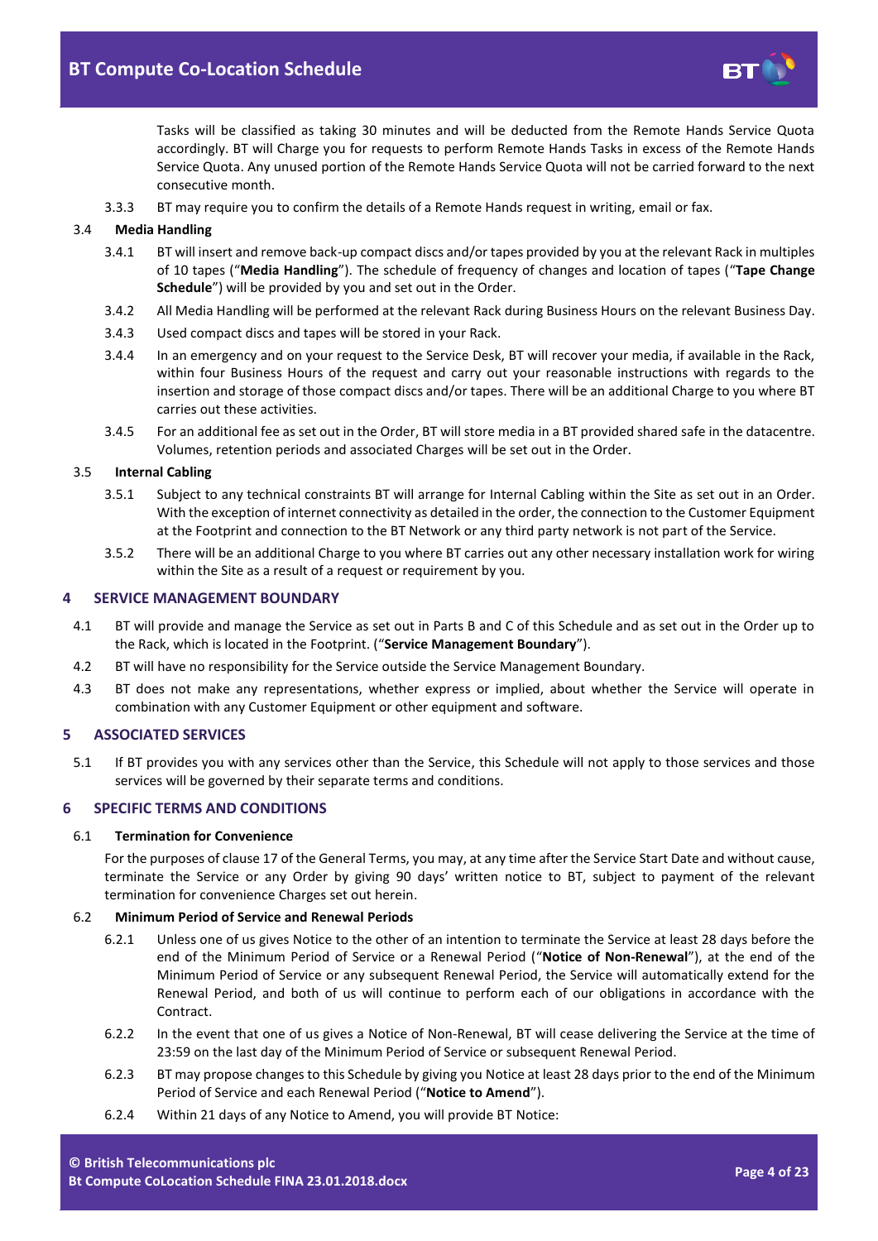

Tasks will be classified as taking 30 minutes and will be deducted from the Remote Hands Service Quota accordingly. BT will Charge you for requests to perform Remote Hands Tasks in excess of the Remote Hands Service Quota. Any unused portion of the Remote Hands Service Quota will not be carried forward to the next consecutive month.

3.3.3 BT may require you to confirm the details of a Remote Hands request in writing, email or fax.

### <span id="page-3-5"></span>3.4 **Media Handling**

- 3.4.1 BT will insert and remove back-up compact discs and/or tapes provided by you at the relevant Rack in multiples of 10 tapes ("**Media Handling**"). The schedule of frequency of changes and location of tapes ("**Tape Change Schedule**") will be provided by you and set out in the Order.
- 3.4.2 All Media Handling will be performed at the relevant Rack during Business Hours on the relevant Business Day.
- 3.4.3 Used compact discs and tapes will be stored in your Rack.
- 3.4.4 In an emergency and on your request to the Service Desk, BT will recover your media, if available in the Rack, within four Business Hours of the request and carry out your reasonable instructions with regards to the insertion and storage of those compact discs and/or tapes. There will be an additional Charge to you where BT carries out these activities.
- 3.4.5 For an additional fee as set out in the Order, BT will store media in a BT provided shared safe in the datacentre. Volumes, retention periods and associated Charges will be set out in the Order.

## 3.5 **Internal Cabling**

- 3.5.1 Subject to any technical constraints BT will arrange for Internal Cabling within the Site as set out in an Order. With the exception of internet connectivity as detailed in the order, the connection to the Customer Equipment at the Footprint and connection to the BT Network or any third party network is not part of the Service.
- 3.5.2 There will be an additional Charge to you where BT carries out any other necessary installation work for wiring within the Site as a result of a request or requirement by you.

#### <span id="page-3-0"></span>**4 SERVICE MANAGEMENT BOUNDARY**

- <span id="page-3-7"></span>4.1 BT will provide and manage the Service as set out in Parts B and C of this Schedule and as set out in the Order up to the Rack, which is located in the Footprint. ("**Service Management Boundary**").
- 4.2 BT will have no responsibility for the Service outside the Service Management Boundary.
- 4.3 BT does not make any representations, whether express or implied, about whether the Service will operate in combination with any Customer Equipment or other equipment and software.

#### <span id="page-3-1"></span>**5 ASSOCIATED SERVICES**

5.1 If BT provides you with any services other than the Service, this Schedule will not apply to those services and those services will be governed by their separate terms and conditions.

## <span id="page-3-2"></span>**6 SPECIFIC TERMS AND CONDITIONS**

### 6.1 **Termination for Convenience**

For the purposes of clause 17 of the General Terms, you may, at any time after the Service Start Date and without cause, terminate the Service or any Order by giving 90 days' written notice to BT, subject to payment of the relevant termination for convenience Charges set out herein.

#### <span id="page-3-6"></span>6.2 **Minimum Period of Service and Renewal Periods**

- 6.2.1 Unless one of us gives Notice to the other of an intention to terminate the Service at least 28 days before the end of the Minimum Period of Service or a Renewal Period ("**Notice of Non-Renewal**"), at the end of the Minimum Period of Service or any subsequent Renewal Period, the Service will automatically extend for the Renewal Period, and both of us will continue to perform each of our obligations in accordance with the Contract.
- 6.2.2 In the event that one of us gives a Notice of Non-Renewal, BT will cease delivering the Service at the time of 23:59 on the last day of the Minimum Period of Service or subsequent Renewal Period.
- <span id="page-3-3"></span>6.2.3 BT may propose changes to this Schedule by giving you Notice at least 28 days prior to the end of the Minimum Period of Service and each Renewal Period ("**Notice to Amend**").
- <span id="page-3-4"></span>6.2.4 Within 21 days of any Notice to Amend, you will provide BT Notice: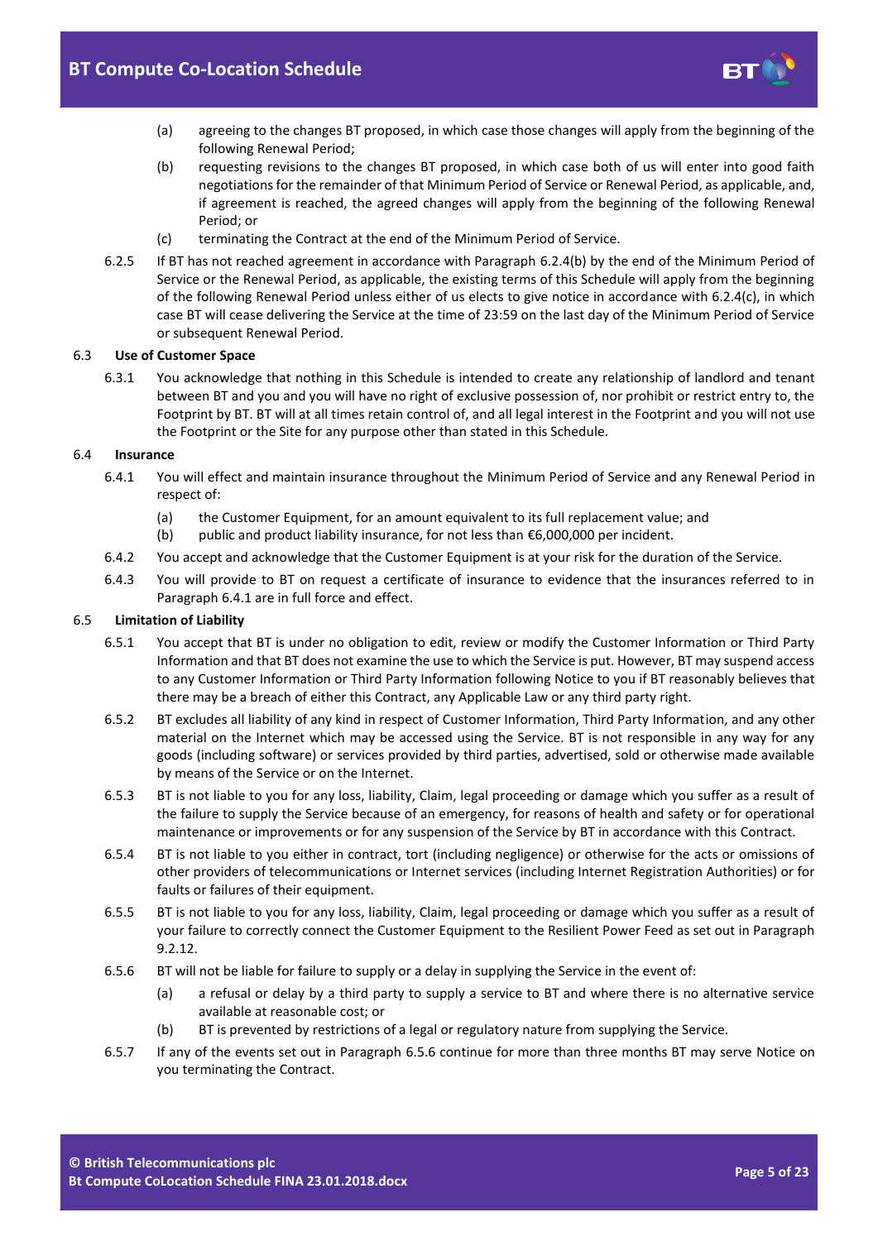

- (a) agreeing to the changes BT proposed, in which case those changes will apply from the beginning of the following Renewal Period;
- <span id="page-4-0"></span>(b) requesting revisions to the changes BT proposed, in which case both of us will enter into good faith negotiations for the remainder of that Minimum Period of Service or Renewal Period, as applicable, and, if agreement is reached, the agreed changes will apply from the beginning of the following Renewal Period; or
- (c) terminating the Contract at the end of the Minimum Period of Service.
- 6.2.5 If BT has not reached agreement in accordance with Paragraph [6.2.4\(b\)](#page-4-0) by the end of the Minimum Period of Service or the Renewal Period, as applicable, the existing terms of this Schedule will apply from the beginning of the following Renewal Period unless either of us elects to give notice in accordance with 6.2.4(c), in which case BT will cease delivering the Service at the time of 23:59 on the last day of the Minimum Period of Service or subsequent Renewal Period.

### 6.3 **Use of Customer Space**

6.3.1 You acknowledge that nothing in this Schedule is intended to create any relationship of landlord and tenant between BT and you and you will have no right of exclusive possession of, nor prohibit or restrict entry to, the Footprint by BT. BT will at all times retain control of, and all legal interest in the Footprint and you will not use the Footprint or the Site for any purpose other than stated in this Schedule.

### <span id="page-4-1"></span>6.4 **Insurance**

- 6.4.1 You will effect and maintain insurance throughout the Minimum Period of Service and any Renewal Period in respect of:
	- (a) the Customer Equipment, for an amount equivalent to its full replacement value; and
	- (b) public and product liability insurance, for not less than €6,000,000 per incident.
- 6.4.2 You accept and acknowledge that the Customer Equipment is at your risk for the duration of the Service.
- 6.4.3 You will provide to BT on request a certificate of insurance to evidence that the insurances referred to in Paragrap[h 6.4.1](#page-4-1) are in full force and effect.

## 6.5 **Limitation of Liability**

- 6.5.1 You accept that BT is under no obligation to edit, review or modify the Customer Information or Third Party Information and that BT does not examine the use to which the Service is put. However, BT may suspend access to any Customer Information or Third Party Information following Notice to you if BT reasonably believes that there may be a breach of either this Contract, any Applicable Law or any third party right.
- 6.5.2 BT excludes all liability of any kind in respect of Customer Information, Third Party Information, and any other material on the Internet which may be accessed using the Service. BT is not responsible in any way for any goods (including software) or services provided by third parties, advertised, sold or otherwise made available by means of the Service or on the Internet.
- 6.5.3 BT is not liable to you for any loss, liability, Claim, legal proceeding or damage which you suffer as a result of the failure to supply the Service because of an emergency, for reasons of health and safety or for operational maintenance or improvements or for any suspension of the Service by BT in accordance with this Contract.
- 6.5.4 BT is not liable to you either in contract, tort (including negligence) or otherwise for the acts or omissions of other providers of telecommunications or Internet services (including Internet Registration Authorities) or for faults or failures of their equipment.
- 6.5.5 BT is not liable to you for any loss, liability, Claim, legal proceeding or damage which you suffer as a result of your failure to correctly connect the Customer Equipment to the Resilient Power Feed as set out in Paragraph [9.2.12.](#page-11-0)
- <span id="page-4-2"></span>6.5.6 BT will not be liable for failure to supply or a delay in supplying the Service in the event of:
	- (a) a refusal or delay by a third party to supply a service to BT and where there is no alternative service available at reasonable cost; or
	- (b) BT is prevented by restrictions of a legal or regulatory nature from supplying the Service.
- 6.5.7 If any of the events set out in Paragraph [6.5.6](#page-4-2) continue for more than three months BT may serve Notice on you terminating the Contract.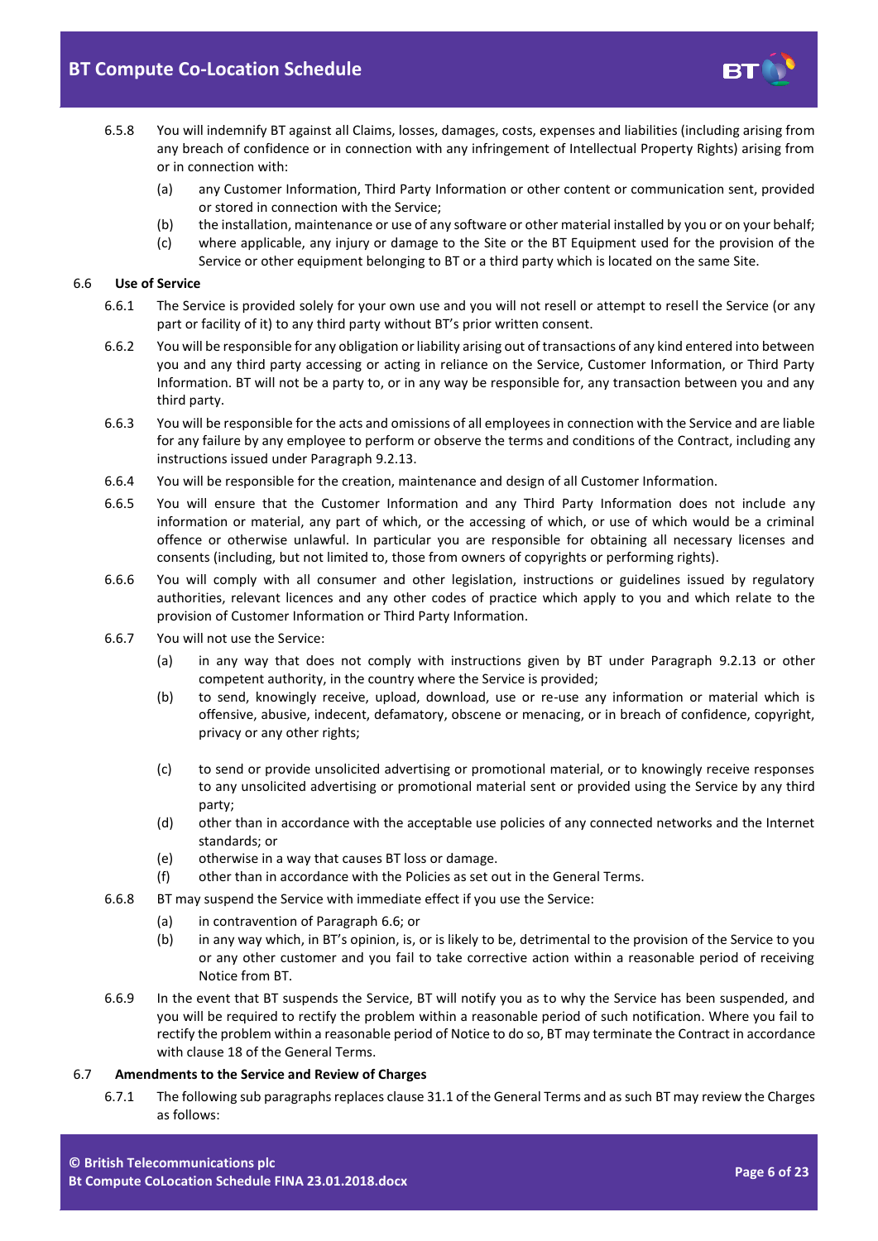# **BT Compute Co-Location Schedule**



- 6.5.8 You will indemnify BT against all Claims, losses, damages, costs, expenses and liabilities (including arising from any breach of confidence or in connection with any infringement of Intellectual Property Rights) arising from or in connection with:
	- (a) any Customer Information, Third Party Information or other content or communication sent, provided or stored in connection with the Service;
	- (b) the installation, maintenance or use of any software or other material installed by you or on your behalf;
	- (c) where applicable, any injury or damage to the Site or the BT Equipment used for the provision of the Service or other equipment belonging to BT or a third party which is located on the same Site.

#### <span id="page-5-0"></span>6.6 **Use of Service**

- 6.6.1 The Service is provided solely for your own use and you will not resell or attempt to resell the Service (or any part or facility of it) to any third party without BT's prior written consent.
- 6.6.2 You will be responsible for any obligation or liability arising out of transactions of any kind entered into between you and any third party accessing or acting in reliance on the Service, Customer Information, or Third Party Information. BT will not be a party to, or in any way be responsible for, any transaction between you and any third party.
- 6.6.3 You will be responsible for the acts and omissions of all employees in connection with the Service and are liable for any failure by any employee to perform or observe the terms and conditions of the Contract, including any instructions issued under Paragraph [9.2.13.](#page-11-1)
- 6.6.4 You will be responsible for the creation, maintenance and design of all Customer Information.
- 6.6.5 You will ensure that the Customer Information and any Third Party Information does not include any information or material, any part of which, or the accessing of which, or use of which would be a criminal offence or otherwise unlawful. In particular you are responsible for obtaining all necessary licenses and consents (including, but not limited to, those from owners of copyrights or performing rights).
- 6.6.6 You will comply with all consumer and other legislation, instructions or guidelines issued by regulatory authorities, relevant licences and any other codes of practice which apply to you and which relate to the provision of Customer Information or Third Party Information.
- 6.6.7 You will not use the Service:
	- (a) in any way that does not comply with instructions given by BT under Paragraph [9.2.13](#page-11-1) or other competent authority, in the country where the Service is provided;
	- (b) to send, knowingly receive, upload, download, use or re-use any information or material which is offensive, abusive, indecent, defamatory, obscene or menacing, or in breach of confidence, copyright, privacy or any other rights;
	- (c) to send or provide unsolicited advertising or promotional material, or to knowingly receive responses to any unsolicited advertising or promotional material sent or provided using the Service by any third party;
	- (d) other than in accordance with the acceptable use policies of any connected networks and the Internet standards; or
	- (e) otherwise in a way that causes BT loss or damage.
	- (f) other than in accordance with the Policies as set out in the General Terms.
- 6.6.8 BT may suspend the Service with immediate effect if you use the Service:
	- (a) in contravention of Paragrap[h 6.6;](#page-5-0) or
	- (b) in any way which, in BT's opinion, is, or is likely to be, detrimental to the provision of the Service to you or any other customer and you fail to take corrective action within a reasonable period of receiving Notice from BT.
- 6.6.9 In the event that BT suspends the Service, BT will notify you as to why the Service has been suspended, and you will be required to rectify the problem within a reasonable period of such notification. Where you fail to rectify the problem within a reasonable period of Notice to do so, BT may terminate the Contract in accordance with clause 18 of the General Terms.

#### 6.7 **Amendments to the Service and Review of Charges**

6.7.1 The following sub paragraphs replaces clause 31.1 of the General Terms and as such BT may review the Charges as follows: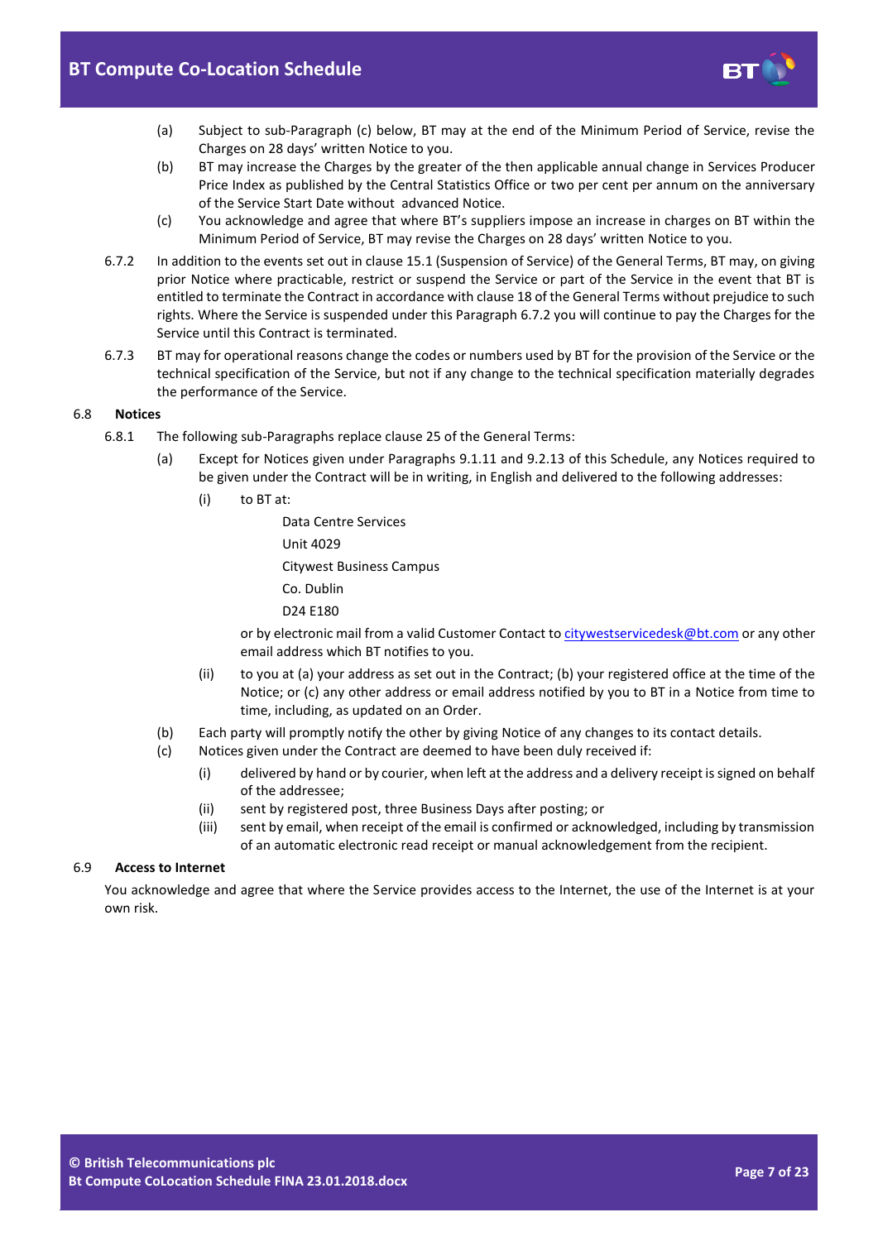

- (a) Subject to sub-Paragraph [\(c\)](#page-6-0) below, BT may at the end of the Minimum Period of Service, revise the Charges on 28 days' written Notice to you.
- (b) BT may increase the Charges by the greater of the then applicable annual change in Services Producer Price Index as published by the Central Statistics Office or two per cent per annum on the anniversary of the Service Start Date without advanced Notice.
- (c) You acknowledge and agree that where BT's suppliers impose an increase in charges on BT within the Minimum Period of Service, BT may revise the Charges on 28 days' written Notice to you.
- <span id="page-6-1"></span><span id="page-6-0"></span>6.7.2 In addition to the events set out in clause 15.1 (Suspension of Service) of the General Terms, BT may, on giving prior Notice where practicable, restrict or suspend the Service or part of the Service in the event that BT is entitled to terminate the Contract in accordance with clause 18 of the General Terms without prejudice to such rights. Where the Service is suspended under this Paragraph [6.7.2](#page-6-1) you will continue to pay the Charges for the Service until this Contract is terminated.
- 6.7.3 BT may for operational reasons change the codes or numbers used by BT for the provision of the Service or the technical specification of the Service, but not if any change to the technical specification materially degrades the performance of the Service.

## 6.8 **Notices**

- 6.8.1 The following sub-Paragraphs replace clause 25 of the General Terms:
	- (a) Except for Notices given under Paragraphs [9.1.11](#page-10-0) and [9.2.13](#page-11-1) of this Schedule, any Notices required to be given under the Contract will be in writing, in English and delivered to the following addresses:
		- (i) to BT at:

Data Centre Services

Unit 4029

Citywest Business Campus

Co. Dublin

D24 E180

or by electronic mail from a valid Customer Contact t[o citywestservicedesk@bt.com](mailto:citywestservicedesk@bt.com) or any other email address which BT notifies to you.

- (ii) to you at (a) your address as set out in the Contract; (b) your registered office at the time of the Notice; or (c) any other address or email address notified by you to BT in a Notice from time to time, including, as updated on an Order.
- (b) Each party will promptly notify the other by giving Notice of any changes to its contact details.
- (c) Notices given under the Contract are deemed to have been duly received if:
	- (i) delivered by hand or by courier, when left at the address and a delivery receipt is signed on behalf of the addressee;
	- (ii) sent by registered post, three Business Days after posting; or
	- (iii) sent by email, when receipt of the email is confirmed or acknowledged, including by transmission of an automatic electronic read receipt or manual acknowledgement from the recipient.

## 6.9 **Access to Internet**

You acknowledge and agree that where the Service provides access to the Internet, the use of the Internet is at your own risk.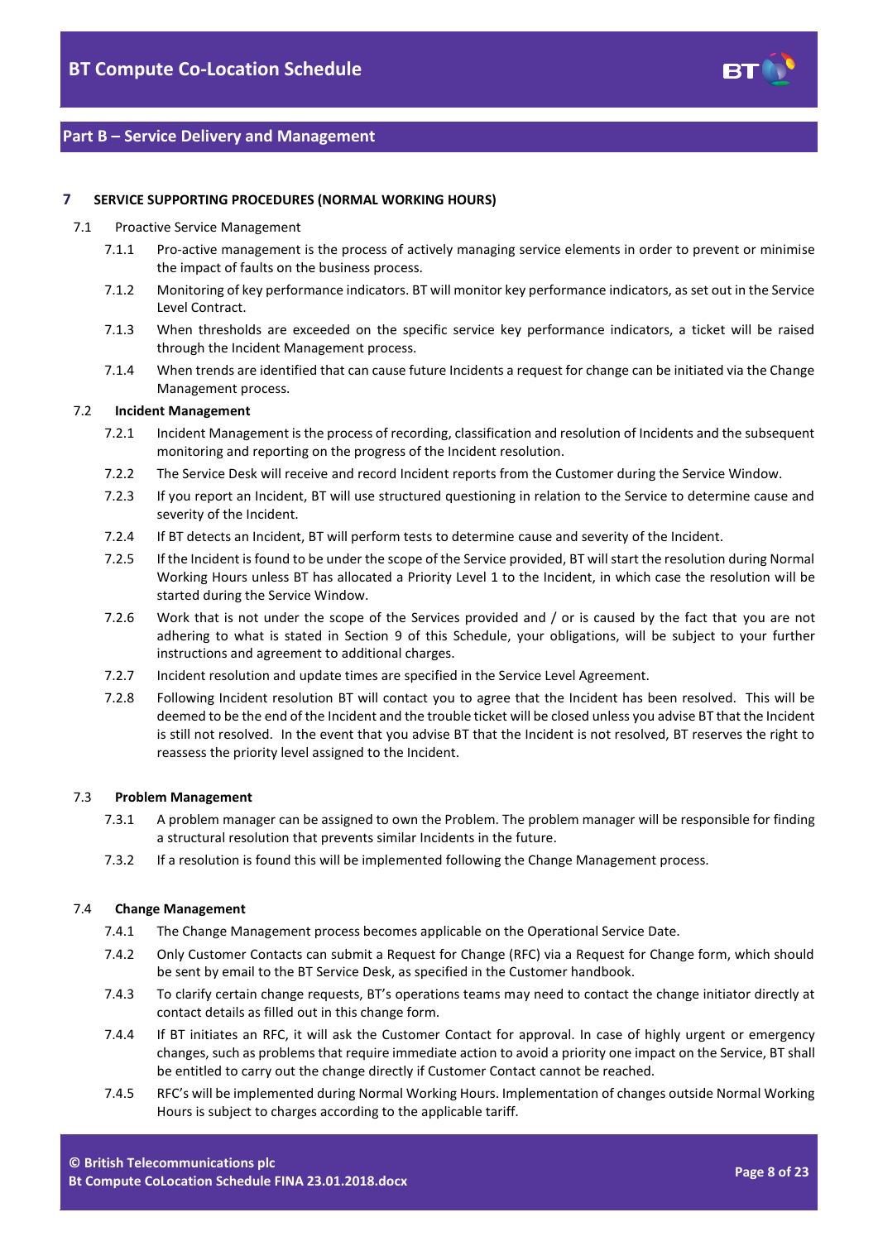

## **Part B – Service Delivery and Management**

## <span id="page-7-0"></span>**7 SERVICE SUPPORTING PROCEDURES (NORMAL WORKING HOURS)**

#### 7.1 Proactive Service Management

- 7.1.1 Pro-active management is the process of actively managing service elements in order to prevent or minimise the impact of faults on the business process.
- 7.1.2 Monitoring of key performance indicators. BT will monitor key performance indicators, as set out in the Service Level Contract.
- 7.1.3 When thresholds are exceeded on the specific service key performance indicators, a ticket will be raised through the Incident Management process.
- 7.1.4 When trends are identified that can cause future Incidents a request for change can be initiated via the Change Management process.

## 7.2 **Incident Management**

- 7.2.1 Incident Management is the process of recording, classification and resolution of Incidents and the subsequent monitoring and reporting on the progress of the Incident resolution.
- 7.2.2 The Service Desk will receive and record Incident reports from the Customer during the Service Window.
- 7.2.3 If you report an Incident, BT will use structured questioning in relation to the Service to determine cause and severity of the Incident.
- 7.2.4 If BT detects an Incident, BT will perform tests to determine cause and severity of the Incident.
- 7.2.5 If the Incident is found to be under the scope of the Service provided, BT will start the resolution during Normal Working Hours unless BT has allocated a Priority Level 1 to the Incident, in which case the resolution will be started during the Service Window.
- 7.2.6 Work that is not under the scope of the Services provided and / or is caused by the fact that you are not adhering to what is stated in Section 9 of this Schedule, your obligations, will be subject to your further instructions and agreement to additional charges.
- 7.2.7 Incident resolution and update times are specified in the Service Level Agreement.
- 7.2.8 Following Incident resolution BT will contact you to agree that the Incident has been resolved. This will be deemed to be the end of the Incident and the trouble ticket will be closed unless you advise BT that the Incident is still not resolved. In the event that you advise BT that the Incident is not resolved, BT reserves the right to reassess the priority level assigned to the Incident.

#### 7.3 **Problem Management**

- 7.3.1 A problem manager can be assigned to own the Problem. The problem manager will be responsible for finding a structural resolution that prevents similar Incidents in the future.
- 7.3.2 If a resolution is found this will be implemented following the Change Management process.

#### 7.4 **Change Management**

- 7.4.1 The Change Management process becomes applicable on the Operational Service Date.
- 7.4.2 Only Customer Contacts can submit a Request for Change (RFC) via a Request for Change form, which should be sent by email to the BT Service Desk, as specified in the Customer handbook.
- 7.4.3 To clarify certain change requests, BT's operations teams may need to contact the change initiator directly at contact details as filled out in this change form.
- 7.4.4 If BT initiates an RFC, it will ask the Customer Contact for approval. In case of highly urgent or emergency changes, such as problems that require immediate action to avoid a priority one impact on the Service, BT shall be entitled to carry out the change directly if Customer Contact cannot be reached.
- 7.4.5 RFC's will be implemented during Normal Working Hours. Implementation of changes outside Normal Working Hours is subject to charges according to the applicable tariff.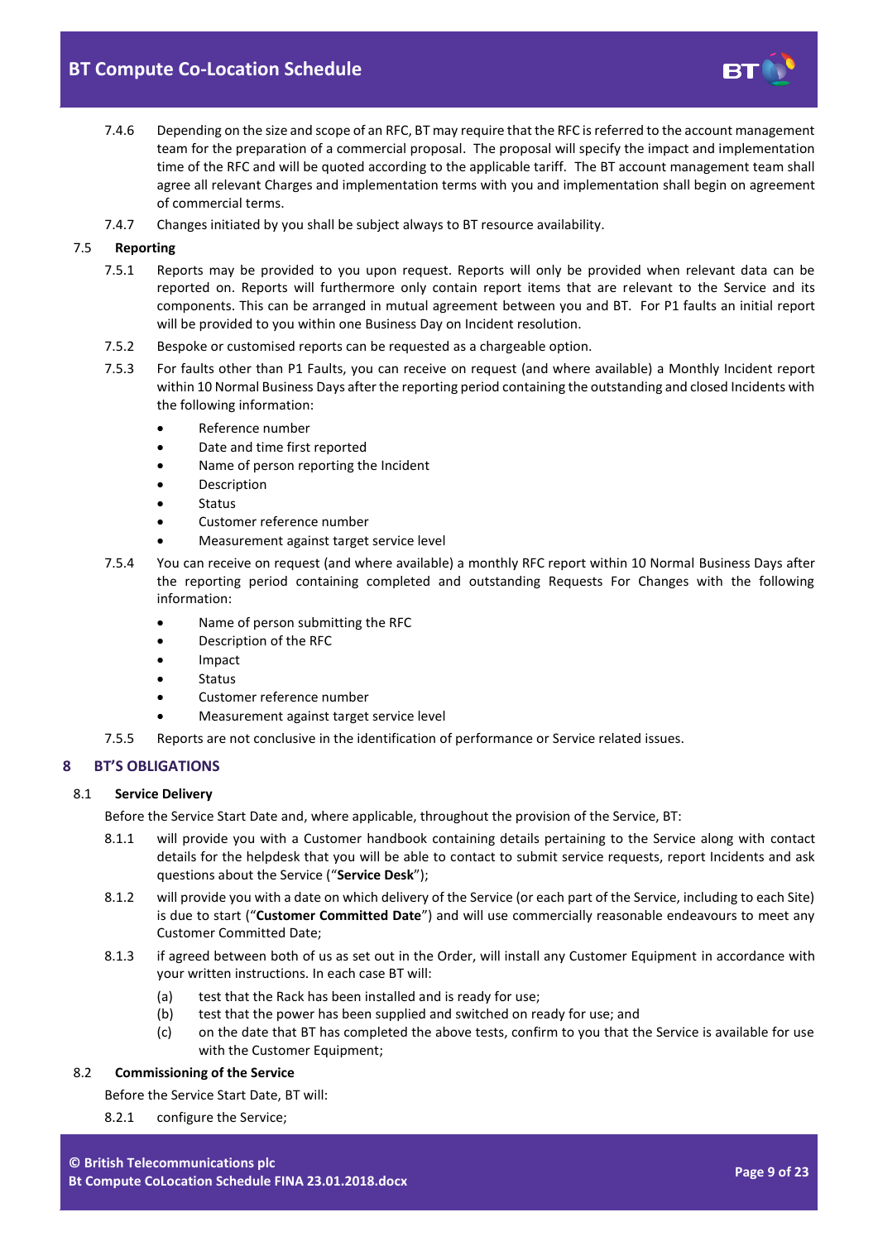

- 7.4.6 Depending on the size and scope of an RFC, BT may require that the RFC is referred to the account management team for the preparation of a commercial proposal. The proposal will specify the impact and implementation time of the RFC and will be quoted according to the applicable tariff. The BT account management team shall agree all relevant Charges and implementation terms with you and implementation shall begin on agreement of commercial terms.
- 7.4.7 Changes initiated by you shall be subject always to BT resource availability.

## 7.5 **Reporting**

- 7.5.1 Reports may be provided to you upon request. Reports will only be provided when relevant data can be reported on. Reports will furthermore only contain report items that are relevant to the Service and its components. This can be arranged in mutual agreement between you and BT. For P1 faults an initial report will be provided to you within one Business Day on Incident resolution.
- 7.5.2 Bespoke or customised reports can be requested as a chargeable option.
- 7.5.3 For faults other than P1 Faults, you can receive on request (and where available) a Monthly Incident report within 10 Normal Business Days after the reporting period containing the outstanding and closed Incidents with the following information:
	- Reference number
	- Date and time first reported
	- Name of person reporting the Incident
	- Description
	- Status
	- Customer reference number
	- Measurement against target service level
- 7.5.4 You can receive on request (and where available) a monthly RFC report within 10 Normal Business Days after the reporting period containing completed and outstanding Requests For Changes with the following information:
	- Name of person submitting the RFC
	- Description of the RFC
	- Impact
	- Status
	- Customer reference number
	- Measurement against target service level
- 7.5.5 Reports are not conclusive in the identification of performance or Service related issues.

## <span id="page-8-0"></span>**8 BT'S OBLIGATIONS**

#### <span id="page-8-4"></span>8.1 **Service Delivery**

Before the Service Start Date and, where applicable, throughout the provision of the Service, BT:

- 8.1.1 will provide you with a Customer handbook containing details pertaining to the Service along with contact details for the helpdesk that you will be able to contact to submit service requests, report Incidents and ask questions about the Service ("**Service Desk**");
- <span id="page-8-3"></span>8.1.2 will provide you with a date on which delivery of the Service (or each part of the Service, including to each Site) is due to start ("**Customer Committed Date**") and will use commercially reasonable endeavours to meet any Customer Committed Date;
- <span id="page-8-1"></span>8.1.3 if agreed between both of us as set out in the Order, will install any Customer Equipment in accordance with your written instructions. In each case BT will:
	- (a) test that the Rack has been installed and is ready for use;
	- (b) test that the power has been supplied and switched on ready for use; and
	- (c) on the date that BT has completed the above tests, confirm to you that the Service is available for use with the Customer Equipment;

## <span id="page-8-2"></span>8.2 **Commissioning of the Service**

Before the Service Start Date, BT will:

8.2.1 configure the Service;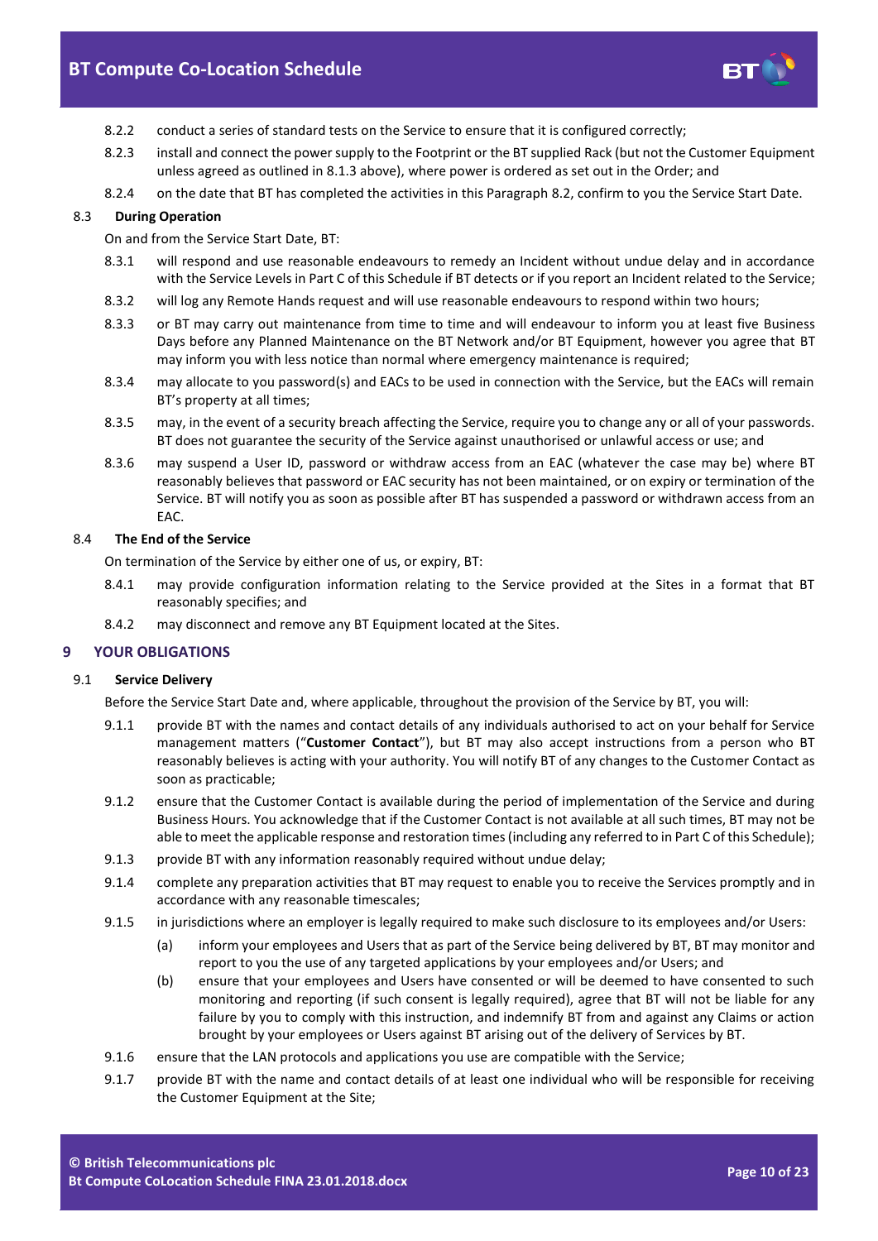

- 8.2.2 conduct a series of standard tests on the Service to ensure that it is configured correctly;
- 8.2.3 install and connect the power supply to the Footprint or the BT supplied Rack (but not the Customer Equipment unless agreed as outlined i[n 8.1.3](#page-8-1) above), where power is ordered as set out in the Order; and
- 8.2.4 on the date that BT has completed the activities in this Paragraph [8.2,](#page-8-2) confirm to you the Service Start Date.

## 8.3 **During Operation**

On and from the Service Start Date, BT:

- 8.3.1 will respond and use reasonable endeavours to remedy an Incident without undue delay and in accordance with the Service Levels in Part C of this Schedule if BT detects or if you report an Incident related to the Service;
- 8.3.2 will log any Remote Hands request and will use reasonable endeavours to respond within two hours;
- 8.3.3 or BT may carry out maintenance from time to time and will endeavour to inform you at least five Business Days before any Planned Maintenance on the BT Network and/or BT Equipment, however you agree that BT may inform you with less notice than normal where emergency maintenance is required;
- 8.3.4 may allocate to you password(s) and EACs to be used in connection with the Service, but the EACs will remain BT's property at all times;
- 8.3.5 may, in the event of a security breach affecting the Service, require you to change any or all of your passwords. BT does not guarantee the security of the Service against unauthorised or unlawful access or use; and
- 8.3.6 may suspend a User ID, password or withdraw access from an EAC (whatever the case may be) where BT reasonably believes that password or EAC security has not been maintained, or on expiry or termination of the Service. BT will notify you as soon as possible after BT has suspended a password or withdrawn access from an EAC.

## 8.4 **The End of the Service**

On termination of the Service by either one of us, or expiry, BT:

- 8.4.1 may provide configuration information relating to the Service provided at the Sites in a format that BT reasonably specifies; and
- 8.4.2 may disconnect and remove any BT Equipment located at the Sites.

## <span id="page-9-0"></span>**9 YOUR OBLIGATIONS**

## 9.1 **Service Delivery**

Before the Service Start Date and, where applicable, throughout the provision of the Service by BT, you will:

- <span id="page-9-1"></span>9.1.1 provide BT with the names and contact details of any individuals authorised to act on your behalf for Service management matters ("**Customer Contact**"), but BT may also accept instructions from a person who BT reasonably believes is acting with your authority. You will notify BT of any changes to the Customer Contact as soon as practicable;
- 9.1.2 ensure that the Customer Contact is available during the period of implementation of the Service and during Business Hours. You acknowledge that if the Customer Contact is not available at all such times, BT may not be able to meet the applicable response and restoration times (including any referred to in Part C of this Schedule);
- 9.1.3 provide BT with any information reasonably required without undue delay;
- 9.1.4 complete any preparation activities that BT may request to enable you to receive the Services promptly and in accordance with any reasonable timescales;
- 9.1.5 in jurisdictions where an employer is legally required to make such disclosure to its employees and/or Users:
	- (a) inform your employees and Users that as part of the Service being delivered by BT, BT may monitor and report to you the use of any targeted applications by your employees and/or Users; and
	- (b) ensure that your employees and Users have consented or will be deemed to have consented to such monitoring and reporting (if such consent is legally required), agree that BT will not be liable for any failure by you to comply with this instruction, and indemnify BT from and against any Claims or action brought by your employees or Users against BT arising out of the delivery of Services by BT.
- 9.1.6 ensure that the LAN protocols and applications you use are compatible with the Service;
- 9.1.7 provide BT with the name and contact details of at least one individual who will be responsible for receiving the Customer Equipment at the Site;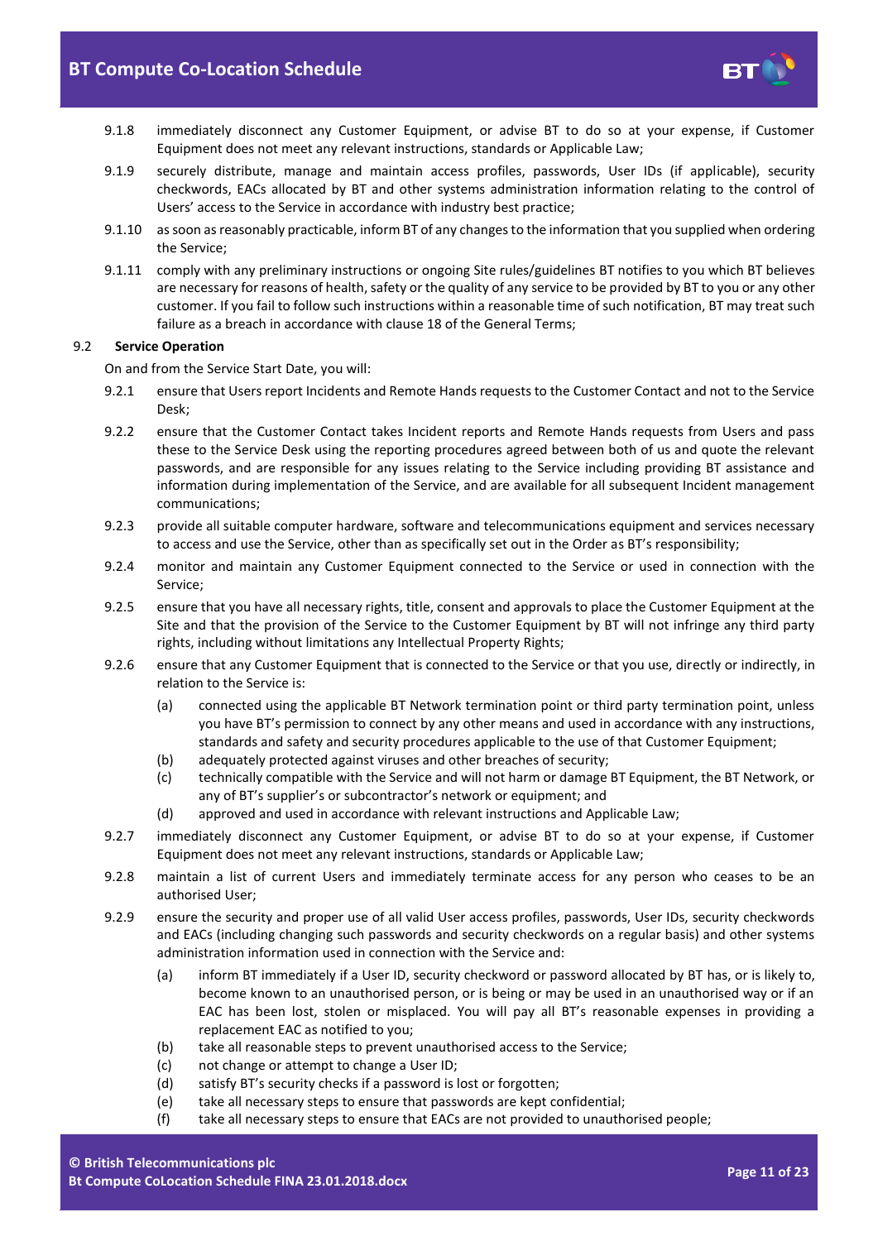

- 9.1.8 immediately disconnect any Customer Equipment, or advise BT to do so at your expense, if Customer Equipment does not meet any relevant instructions, standards or Applicable Law;
- 9.1.9 securely distribute, manage and maintain access profiles, passwords, User IDs (if applicable), security checkwords, EACs allocated by BT and other systems administration information relating to the control of Users' access to the Service in accordance with industry best practice;
- 9.1.10 as soon as reasonably practicable, inform BT of any changes to the information that you supplied when ordering the Service;
- <span id="page-10-0"></span>9.1.11 comply with any preliminary instructions or ongoing Site rules/guidelines BT notifies to you which BT believes are necessary for reasons of health, safety or the quality of any service to be provided by BT to you or any other customer. If you fail to follow such instructions within a reasonable time of such notification, BT may treat such failure as a breach in accordance with clause 18 of the General Terms;

## 9.2 **Service Operation**

On and from the Service Start Date, you will:

- 9.2.1 ensure that Users report Incidents and Remote Hands requests to the Customer Contact and not to the Service Desk;
- 9.2.2 ensure that the Customer Contact takes Incident reports and Remote Hands requests from Users and pass these to the Service Desk using the reporting procedures agreed between both of us and quote the relevant passwords, and are responsible for any issues relating to the Service including providing BT assistance and information during implementation of the Service, and are available for all subsequent Incident management communications;
- 9.2.3 provide all suitable computer hardware, software and telecommunications equipment and services necessary to access and use the Service, other than as specifically set out in the Order as BT's responsibility;
- 9.2.4 monitor and maintain any Customer Equipment connected to the Service or used in connection with the Service;
- 9.2.5 ensure that you have all necessary rights, title, consent and approvals to place the Customer Equipment at the Site and that the provision of the Service to the Customer Equipment by BT will not infringe any third party rights, including without limitations any Intellectual Property Rights;
- 9.2.6 ensure that any Customer Equipment that is connected to the Service or that you use, directly or indirectly, in relation to the Service is:
	- (a) connected using the applicable BT Network termination point or third party termination point, unless you have BT's permission to connect by any other means and used in accordance with any instructions, standards and safety and security procedures applicable to the use of that Customer Equipment;
	- (b) adequately protected against viruses and other breaches of security;
	- (c) technically compatible with the Service and will not harm or damage BT Equipment, the BT Network, or any of BT's supplier's or subcontractor's network or equipment; and
	- (d) approved and used in accordance with relevant instructions and Applicable Law;
- 9.2.7 immediately disconnect any Customer Equipment, or advise BT to do so at your expense, if Customer Equipment does not meet any relevant instructions, standards or Applicable Law;
- 9.2.8 maintain a list of current Users and immediately terminate access for any person who ceases to be an authorised User;
- <span id="page-10-1"></span>9.2.9 ensure the security and proper use of all valid User access profiles, passwords, User IDs, security checkwords and EACs (including changing such passwords and security checkwords on a regular basis) and other systems administration information used in connection with the Service and:
	- (a) inform BT immediately if a User ID, security checkword or password allocated by BT has, or is likely to, become known to an unauthorised person, or is being or may be used in an unauthorised way or if an EAC has been lost, stolen or misplaced. You will pay all BT's reasonable expenses in providing a replacement EAC as notified to you;
	- (b) take all reasonable steps to prevent unauthorised access to the Service;
	- (c) not change or attempt to change a User ID;
	- (d) satisfy BT's security checks if a password is lost or forgotten;
	- (e) take all necessary steps to ensure that passwords are kept confidential;
	- (f) take all necessary steps to ensure that EACs are not provided to unauthorised people;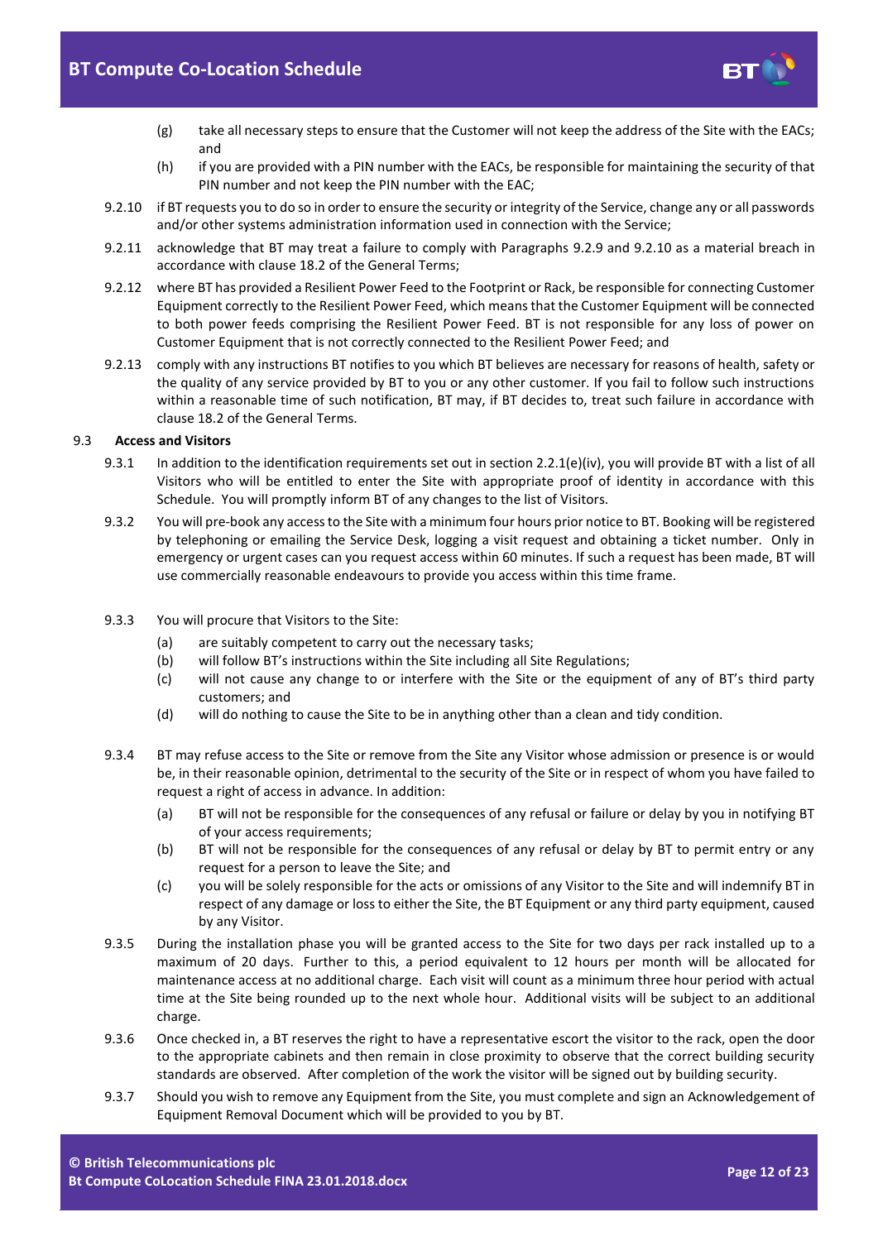

- (g) take all necessary steps to ensure that the Customer will not keep the address of the Site with the EACs; and
- (h) if you are provided with a PIN number with the EACs, be responsible for maintaining the security of that PIN number and not keep the PIN number with the EAC;
- <span id="page-11-2"></span>9.2.10 if BT requests you to do so in order to ensure the security or integrity of the Service, change any or all passwords and/or other systems administration information used in connection with the Service;
- 9.2.11 acknowledge that BT may treat a failure to comply with Paragraphs [9.2.9](#page-10-1) and [9.2.10](#page-11-2) as a material breach in accordance with clause 18.2 of the General Terms;
- <span id="page-11-0"></span>9.2.12 where BT has provided a Resilient Power Feed to the Footprint or Rack, be responsible for connecting Customer Equipment correctly to the Resilient Power Feed, which means that the Customer Equipment will be connected to both power feeds comprising the Resilient Power Feed. BT is not responsible for any loss of power on Customer Equipment that is not correctly connected to the Resilient Power Feed; and
- <span id="page-11-1"></span>9.2.13 comply with any instructions BT notifies to you which BT believes are necessary for reasons of health, safety or the quality of any service provided by BT to you or any other customer. If you fail to follow such instructions within a reasonable time of such notification, BT may, if BT decides to, treat such failure in accordance with clause 18.2 of the General Terms.

## 9.3 **Access and Visitors**

- 9.3.1 In addition to the identification requirements set out in section 2.2.1(e)(iv), you will provide BT with a list of all Visitors who will be entitled to enter the Site with appropriate proof of identity in accordance with this Schedule. You will promptly inform BT of any changes to the list of Visitors.
- 9.3.2 You will pre-book any access to the Site with a minimum four hours prior notice to BT. Booking will be registered by telephoning or emailing the Service Desk, logging a visit request and obtaining a ticket number. Only in emergency or urgent cases can you request access within 60 minutes. If such a request has been made, BT will use commercially reasonable endeavours to provide you access within this time frame.
- 9.3.3 You will procure that Visitors to the Site:
	- (a) are suitably competent to carry out the necessary tasks;
	- (b) will follow BT's instructions within the Site including all Site Regulations;
	- (c) will not cause any change to or interfere with the Site or the equipment of any of BT's third party customers; and
	- (d) will do nothing to cause the Site to be in anything other than a clean and tidy condition.
- 9.3.4 BT may refuse access to the Site or remove from the Site any Visitor whose admission or presence is or would be, in their reasonable opinion, detrimental to the security of the Site or in respect of whom you have failed to request a right of access in advance. In addition:
	- (a) BT will not be responsible for the consequences of any refusal or failure or delay by you in notifying BT of your access requirements;
	- (b) BT will not be responsible for the consequences of any refusal or delay by BT to permit entry or any request for a person to leave the Site; and
	- (c) you will be solely responsible for the acts or omissions of any Visitor to the Site and will indemnify BT in respect of any damage or loss to either the Site, the BT Equipment or any third party equipment, caused by any Visitor.
- 9.3.5 During the installation phase you will be granted access to the Site for two days per rack installed up to a maximum of 20 days. Further to this, a period equivalent to 12 hours per month will be allocated for maintenance access at no additional charge. Each visit will count as a minimum three hour period with actual time at the Site being rounded up to the next whole hour. Additional visits will be subject to an additional charge.
- 9.3.6 Once checked in, a BT reserves the right to have a representative escort the visitor to the rack, open the door to the appropriate cabinets and then remain in close proximity to observe that the correct building security standards are observed. After completion of the work the visitor will be signed out by building security.
- 9.3.7 Should you wish to remove any Equipment from the Site, you must complete and sign an Acknowledgement of Equipment Removal Document which will be provided to you by BT.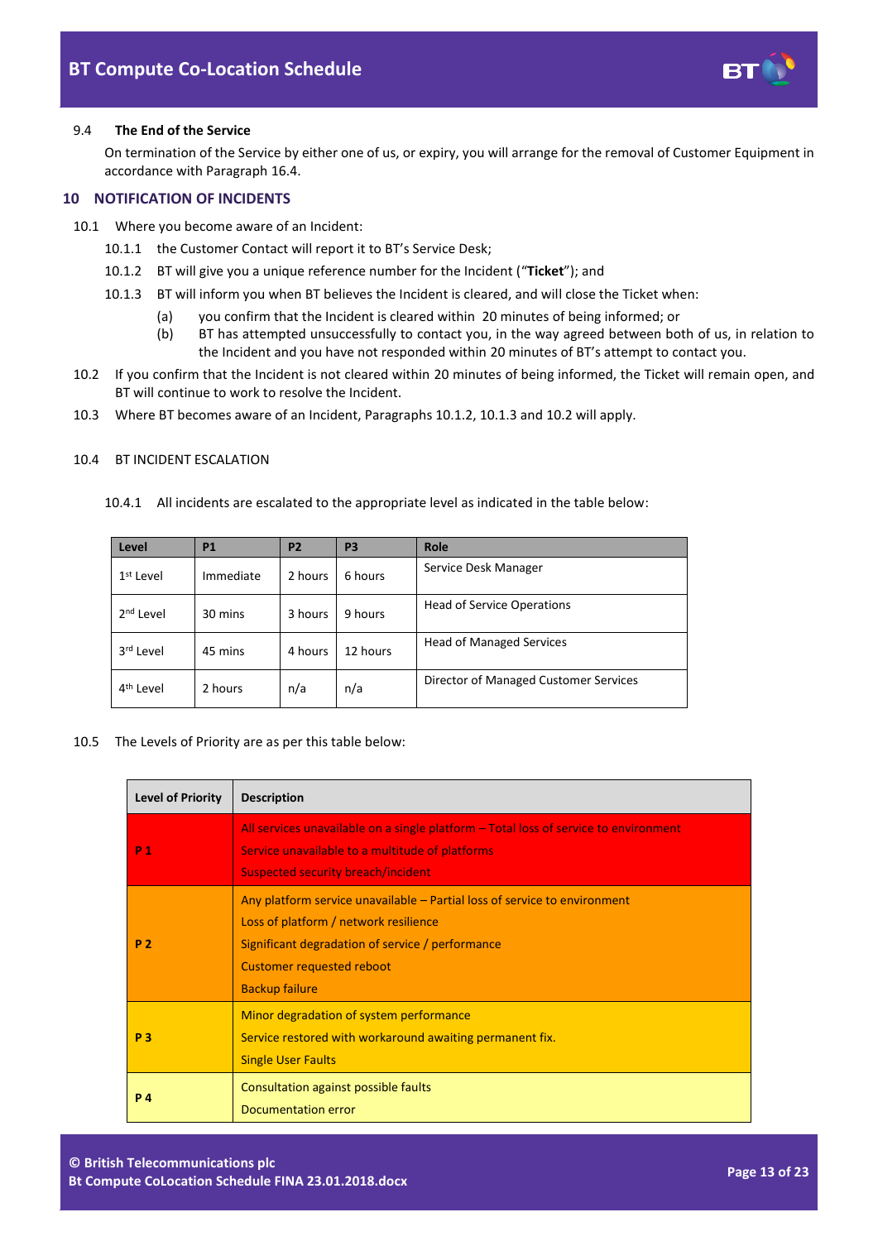

### 9.4 **The End of the Service**

On termination of the Service by either one of us, or expiry, you will arrange for the removal of Customer Equipment in accordance with Paragraph [16.4.](#page-17-0)

## <span id="page-12-0"></span>**10 NOTIFICATION OF INCIDENTS**

- <span id="page-12-2"></span><span id="page-12-1"></span>10.1 Where you become aware of an Incident:
	- 10.1.1 the Customer Contact will report it to BT's Service Desk;
	- 10.1.2 BT will give you a unique reference number for the Incident ("**Ticket**"); and
	- 10.1.3 BT will inform you when BT believes the Incident is cleared, and will close the Ticket when:
		- (a) you confirm that the Incident is cleared within 20 minutes of being informed; or
		- (b) BT has attempted unsuccessfully to contact you, in the way agreed between both of us, in relation to the Incident and you have not responded within 20 minutes of BT's attempt to contact you.
- <span id="page-12-3"></span>10.2 If you confirm that the Incident is not cleared within 20 minutes of being informed, the Ticket will remain open, and BT will continue to work to resolve the Incident.
- 10.3 Where BT becomes aware of an Incident, Paragraph[s 10.1.2,](#page-12-1) [10.1.3](#page-12-2) an[d 10.2](#page-12-3) will apply.

## 10.4 BT INCIDENT ESCALATION

10.4.1 All incidents are escalated to the appropriate level as indicated in the table below:

| Level                 | <b>P1</b> | <b>P2</b> | P <sub>3</sub> | Role                                  |
|-----------------------|-----------|-----------|----------------|---------------------------------------|
| 1 <sup>st</sup> Level | Immediate | 2 hours   | 6 hours        | Service Desk Manager                  |
| $2nd$ Level           | 30 mins   | 3 hours   | 9 hours        | <b>Head of Service Operations</b>     |
| 3 <sup>rd</sup> Level | 45 mins   | 4 hours   | 12 hours       | <b>Head of Managed Services</b>       |
| 4 <sup>th</sup> Level | 2 hours   | n/a       | n/a            | Director of Managed Customer Services |

#### 10.5 The Levels of Priority are as per this table below:

| <b>Level of Priority</b> | <b>Description</b>                                                                                                                                                                                                                  |
|--------------------------|-------------------------------------------------------------------------------------------------------------------------------------------------------------------------------------------------------------------------------------|
| P <sub>1</sub>           | All services unavailable on a single platform – Total loss of service to environment<br>Service unavailable to a multitude of platforms<br><b>Suspected security breach/incident</b>                                                |
| <b>P2</b>                | Any platform service unavailable – Partial loss of service to environment<br>Loss of platform / network resilience<br>Significant degradation of service / performance<br><b>Customer requested reboot</b><br><b>Backup failure</b> |
| P <sub>3</sub>           | Minor degradation of system performance<br>Service restored with workaround awaiting permanent fix.<br><b>Single User Faults</b>                                                                                                    |
| <b>P4</b>                | Consultation against possible faults<br>Documentation error                                                                                                                                                                         |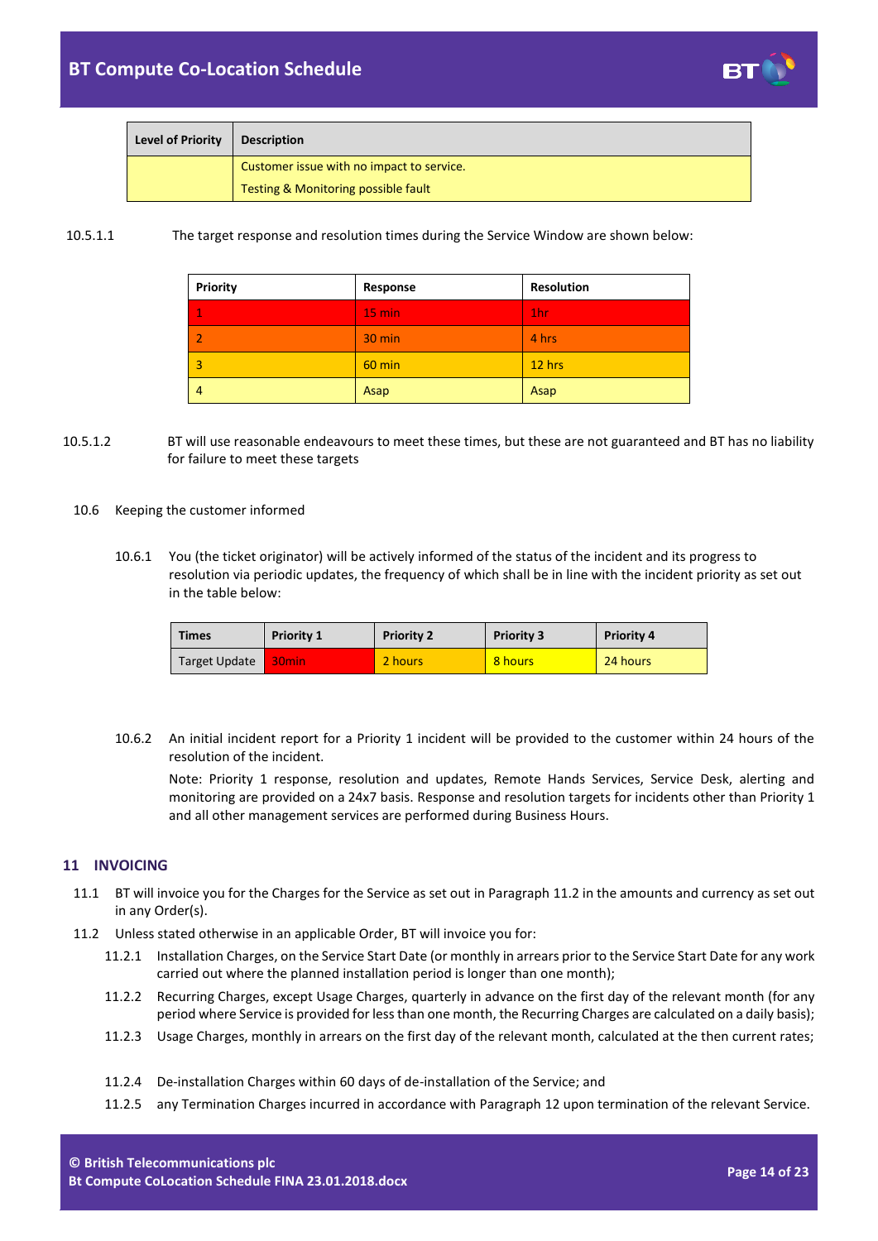

| <b>Level of Priority</b> | <b>Description</b>                        |
|--------------------------|-------------------------------------------|
|                          | Customer issue with no impact to service. |
|                          | Testing & Monitoring possible fault       |

## 10.5.1.1 The target response and resolution times during the Service Window are shown below:

| Priority       | Response         | <b>Resolution</b> |
|----------------|------------------|-------------------|
| $\mathbf 1$    | $15 \text{ min}$ | 1 <sub>hr</sub>   |
|                | 30 min           | 4 hrs             |
| 3              | $60$ min         | 12 hrs            |
| $\overline{4}$ | Asap             | Asap              |

- 10.5.1.2 BT will use reasonable endeavours to meet these times, but these are not guaranteed and BT has no liability for failure to meet these targets
	- 10.6 Keeping the customer informed
		- 10.6.1 You (the ticket originator) will be actively informed of the status of the incident and its progress to resolution via periodic updates, the frequency of which shall be in line with the incident priority as set out in the table below:

| <b>Times</b>  | <b>Priority 1</b> | <b>Priority 2</b> | <b>Priority 3</b> | <b>Priority 4</b> |
|---------------|-------------------|-------------------|-------------------|-------------------|
| Target Update | 30 <sub>min</sub> | 2 hours           | 8 hours           | 24 hours          |

10.6.2 An initial incident report for a Priority 1 incident will be provided to the customer within 24 hours of the resolution of the incident.

Note: Priority 1 response, resolution and updates, Remote Hands Services, Service Desk, alerting and monitoring are provided on a 24x7 basis. Response and resolution targets for incidents other than Priority 1 and all other management services are performed during Business Hours.

## <span id="page-13-0"></span>**11 INVOICING**

- 11.1 BT will invoice you for the Charges for the Service as set out in Paragraph [11.2](#page-13-1) in the amounts and currency as set out in any Order(s).
- <span id="page-13-1"></span>11.2 Unless stated otherwise in an applicable Order, BT will invoice you for:
	- 11.2.1 Installation Charges, on the Service Start Date (or monthly in arrears prior to the Service Start Date for any work carried out where the planned installation period is longer than one month);
	- 11.2.2 Recurring Charges, except Usage Charges, quarterly in advance on the first day of the relevant month (for any period where Service is provided for less than one month, the Recurring Charges are calculated on a daily basis);
	- 11.2.3 Usage Charges, monthly in arrears on the first day of the relevant month, calculated at the then current rates;
	- 11.2.4 De-installation Charges within 60 days of de-installation of the Service; and
	- 11.2.5 any Termination Charges incurred in accordance with Paragrap[h 12](#page-14-0) upon termination of the relevant Service.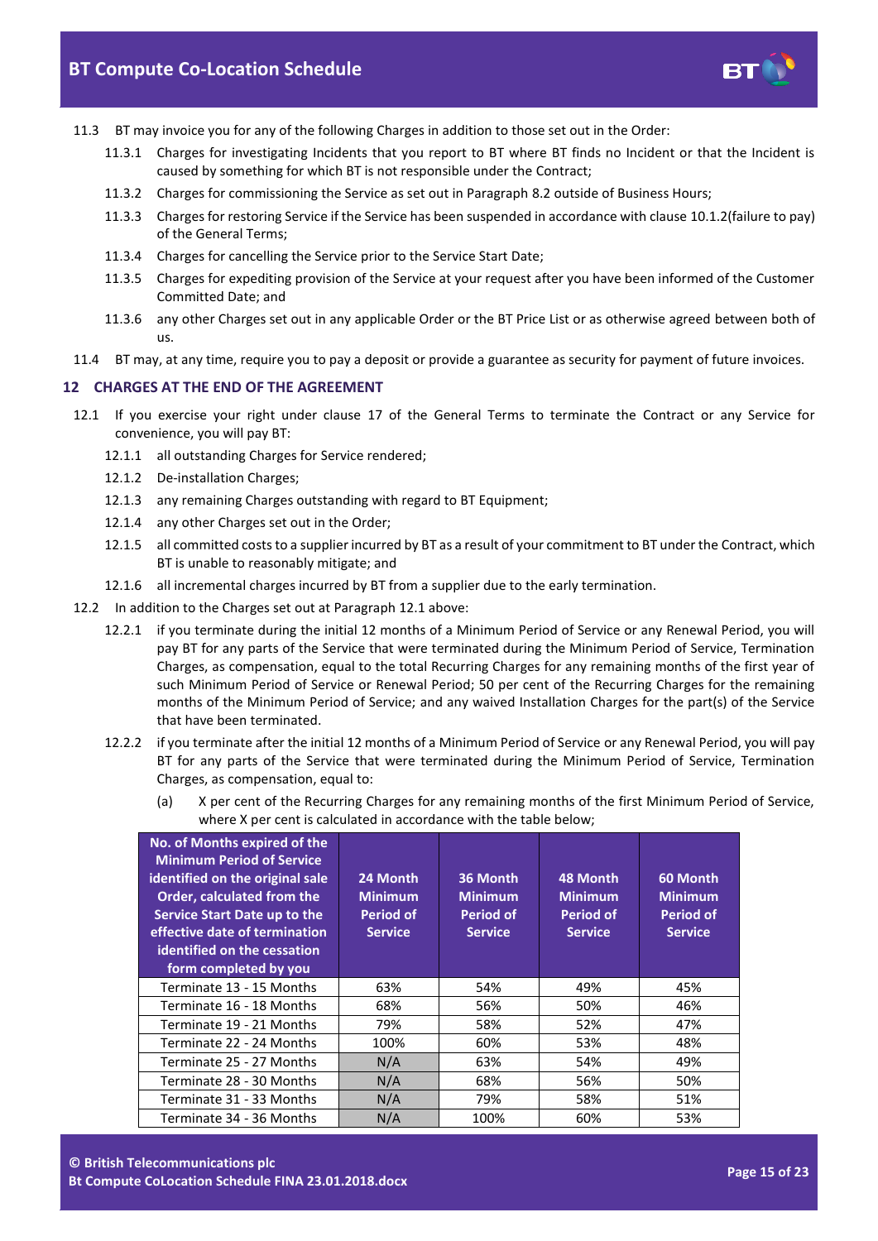

- 11.3 BT may invoice you for any of the following Charges in addition to those set out in the Order:
	- 11.3.1 Charges for investigating Incidents that you report to BT where BT finds no Incident or that the Incident is caused by something for which BT is not responsible under the Contract;
	- 11.3.2 Charges for commissioning the Service as set out in Paragrap[h 8.2](#page-8-2) outside of Business Hours;
	- 11.3.3 Charges for restoring Service if the Service has been suspended in accordance with clause 10.1.2(failure to pay) of the General Terms;
	- 11.3.4 Charges for cancelling the Service prior to the Service Start Date;
	- 11.3.5 Charges for expediting provision of the Service at your request after you have been informed of the Customer Committed Date; and
	- 11.3.6 any other Charges set out in any applicable Order or the BT Price List or as otherwise agreed between both of us.
- 11.4 BT may, at any time, require you to pay a deposit or provide a guarantee as security for payment of future invoices.

## <span id="page-14-0"></span>**12 CHARGES AT THE END OF THE AGREEMENT**

- <span id="page-14-1"></span>12.1 If you exercise your right under clause 17 of the General Terms to terminate the Contract or any Service for convenience, you will pay BT:
	- 12.1.1 all outstanding Charges for Service rendered;
	- 12.1.2 De-installation Charges;
	- 12.1.3 any remaining Charges outstanding with regard to BT Equipment;
	- 12.1.4 any other Charges set out in the Order;
	- 12.1.5 all committed costs to a supplier incurred by BT as a result of your commitment to BT under the Contract, which BT is unable to reasonably mitigate; and
	- 12.1.6 all incremental charges incurred by BT from a supplier due to the early termination.
- 12.2 In addition to the Charges set out at Paragrap[h 12.1](#page-14-1) above:
	- 12.2.1 if you terminate during the initial 12 months of a Minimum Period of Service or any Renewal Period, you will pay BT for any parts of the Service that were terminated during the Minimum Period of Service, Termination Charges, as compensation, equal to the total Recurring Charges for any remaining months of the first year of such Minimum Period of Service or Renewal Period; 50 per cent of the Recurring Charges for the remaining months of the Minimum Period of Service; and any waived Installation Charges for the part(s) of the Service that have been terminated.
	- 12.2.2 if you terminate after the initial 12 months of a Minimum Period of Service or any Renewal Period, you will pay BT for any parts of the Service that were terminated during the Minimum Period of Service, Termination Charges, as compensation, equal to:
		- (a) X per cent of the Recurring Charges for any remaining months of the first Minimum Period of Service, where X per cent is calculated in accordance with the table below;

| No. of Months expired of the<br><b>Minimum Period of Service</b><br>identified on the original sale<br>Order, calculated from the<br>Service Start Date up to the<br>effective date of termination<br>identified on the cessation<br>form completed by you | 24 Month<br><b>Minimum</b><br><b>Period of</b><br><b>Service</b> | 36 Month<br><b>Minimum</b><br><b>Period of</b><br><b>Service</b> | 48 Month<br><b>Minimum</b><br><b>Period of</b><br><b>Service</b> | 60 Month<br><b>Minimum</b><br><b>Period of</b><br><b>Service</b> |
|------------------------------------------------------------------------------------------------------------------------------------------------------------------------------------------------------------------------------------------------------------|------------------------------------------------------------------|------------------------------------------------------------------|------------------------------------------------------------------|------------------------------------------------------------------|
| Terminate 13 - 15 Months                                                                                                                                                                                                                                   | 63%                                                              | 54%                                                              | 49%                                                              | 45%                                                              |
| Terminate 16 - 18 Months                                                                                                                                                                                                                                   | 68%                                                              | 56%                                                              | 50%                                                              | 46%                                                              |
| Terminate 19 - 21 Months                                                                                                                                                                                                                                   | 79%                                                              | 58%                                                              | 52%                                                              | 47%                                                              |
| Terminate 22 - 24 Months                                                                                                                                                                                                                                   | 100%                                                             | 60%                                                              | 53%                                                              | 48%                                                              |
| Terminate 25 - 27 Months                                                                                                                                                                                                                                   | N/A                                                              | 63%                                                              | 54%                                                              | 49%                                                              |
| Terminate 28 - 30 Months                                                                                                                                                                                                                                   | N/A                                                              | 68%                                                              | 56%                                                              | 50%                                                              |
| Terminate 31 - 33 Months                                                                                                                                                                                                                                   | N/A                                                              | 79%                                                              | 58%                                                              | 51%                                                              |
| Terminate 34 - 36 Months                                                                                                                                                                                                                                   | N/A                                                              | 100%                                                             | 60%                                                              | 53%                                                              |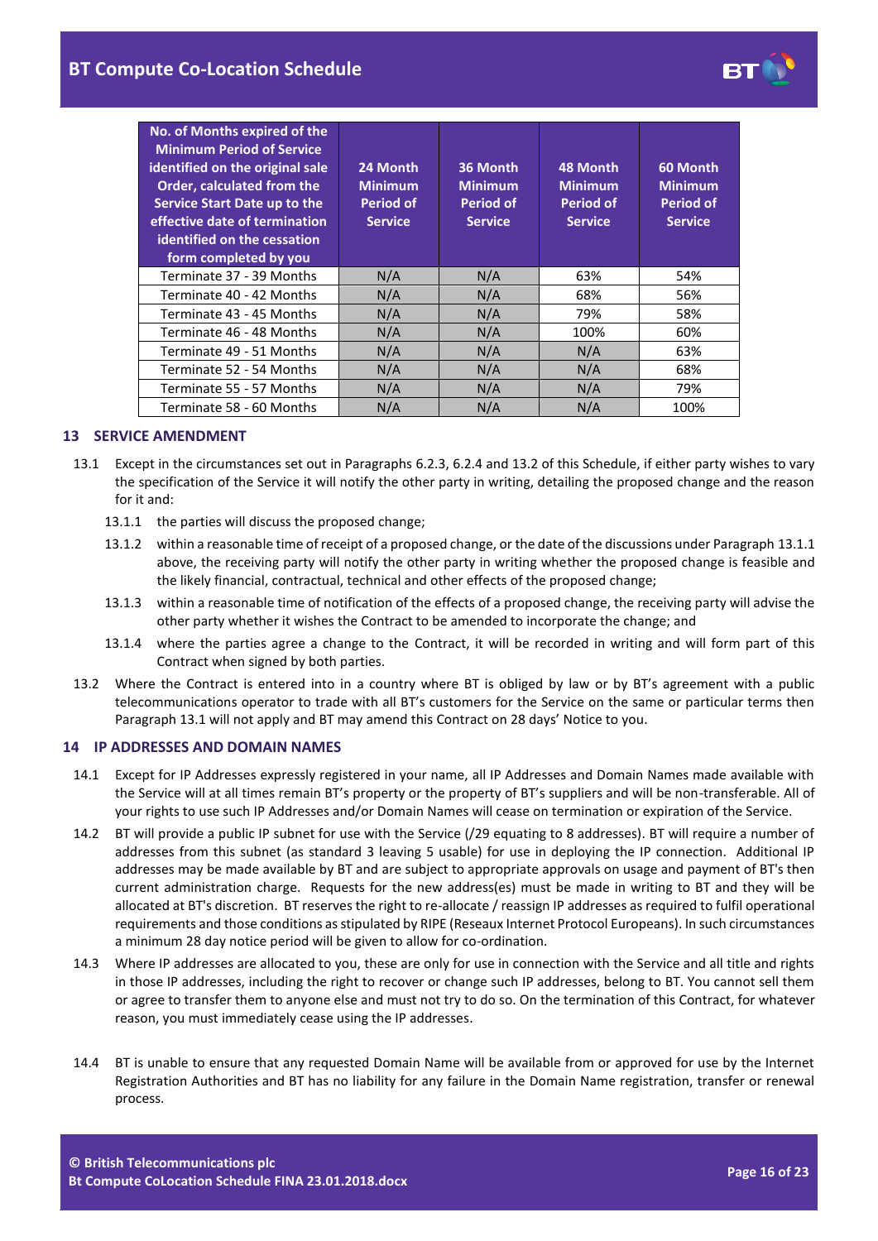| No. of Months expired of the<br><b>Minimum Period of Service</b><br>identified on the original sale<br>Order, calculated from the<br>Service Start Date up to the<br>effective date of termination<br>identified on the cessation<br>form completed by you | 24 Month<br><b>Minimum</b><br>Period of<br><b>Service</b> | 36 Month<br><b>Minimum</b><br><b>Period of</b><br><b>Service</b> | 48 Month<br><b>Minimum</b><br>Period of<br><b>Service</b> | 60 Month<br><b>Minimum</b><br><b>Period of</b><br><b>Service</b> |
|------------------------------------------------------------------------------------------------------------------------------------------------------------------------------------------------------------------------------------------------------------|-----------------------------------------------------------|------------------------------------------------------------------|-----------------------------------------------------------|------------------------------------------------------------------|
| Terminate 37 - 39 Months                                                                                                                                                                                                                                   | N/A                                                       | N/A                                                              | 63%                                                       | 54%                                                              |
| Terminate 40 - 42 Months                                                                                                                                                                                                                                   | N/A                                                       | N/A                                                              | 68%                                                       | 56%                                                              |
| Terminate 43 - 45 Months                                                                                                                                                                                                                                   | N/A                                                       | N/A                                                              | 79%                                                       | 58%                                                              |
| Terminate 46 - 48 Months                                                                                                                                                                                                                                   | N/A                                                       | N/A                                                              | 100%                                                      | 60%                                                              |
| Terminate 49 - 51 Months                                                                                                                                                                                                                                   | N/A                                                       | N/A                                                              | N/A                                                       | 63%                                                              |
| Terminate 52 - 54 Months                                                                                                                                                                                                                                   | N/A                                                       | N/A                                                              | N/A                                                       | 68%                                                              |
| Terminate 55 - 57 Months                                                                                                                                                                                                                                   | N/A                                                       | N/A                                                              | N/A                                                       | 79%                                                              |
| Terminate 58 - 60 Months                                                                                                                                                                                                                                   | N/A                                                       | N/A                                                              | N/A                                                       | 100%                                                             |

## <span id="page-15-0"></span>**13 SERVICE AMENDMENT**

- <span id="page-15-4"></span><span id="page-15-3"></span>13.1 Except in the circumstances set out in Paragraphs [6.2.3,](#page-3-3) [6.2.4](#page-3-4) and [13.2](#page-15-2) of this Schedule, if either party wishes to vary the specification of the Service it will notify the other party in writing, detailing the proposed change and the reason for it and:
	- 13.1.1 the parties will discuss the proposed change;
	- 13.1.2 within a reasonable time of receipt of a proposed change, or the date of the discussions under Paragrap[h 13.1.1](#page-15-3) above, the receiving party will notify the other party in writing whether the proposed change is feasible and the likely financial, contractual, technical and other effects of the proposed change;
	- 13.1.3 within a reasonable time of notification of the effects of a proposed change, the receiving party will advise the other party whether it wishes the Contract to be amended to incorporate the change; and
	- 13.1.4 where the parties agree a change to the Contract, it will be recorded in writing and will form part of this Contract when signed by both parties.
- <span id="page-15-2"></span>13.2 Where the Contract is entered into in a country where BT is obliged by law or by BT's agreement with a public telecommunications operator to trade with all BT's customers for the Service on the same or particular terms then Paragraph [13.1](#page-15-4) will not apply and BT may amend this Contract on 28 days' Notice to you.

## <span id="page-15-1"></span>**14 IP ADDRESSES AND DOMAIN NAMES**

- 14.1 Except for IP Addresses expressly registered in your name, all IP Addresses and Domain Names made available with the Service will at all times remain BT's property or the property of BT's suppliers and will be non-transferable. All of your rights to use such IP Addresses and/or Domain Names will cease on termination or expiration of the Service.
- 14.2 BT will provide a public IP subnet for use with the Service (/29 equating to 8 addresses). BT will require a number of addresses from this subnet (as standard 3 leaving 5 usable) for use in deploying the IP connection. Additional IP addresses may be made available by BT and are subject to appropriate approvals on usage and payment of BT's then current administration charge. Requests for the new address(es) must be made in writing to BT and they will be allocated at BT's discretion. BT reserves the right to re-allocate / reassign IP addresses as required to fulfil operational requirements and those conditions as stipulated by RIPE (Reseaux Internet Protocol Europeans). In such circumstances a minimum 28 day notice period will be given to allow for co-ordination.
- 14.3 Where IP addresses are allocated to you, these are only for use in connection with the Service and all title and rights in those IP addresses, including the right to recover or change such IP addresses, belong to BT. You cannot sell them or agree to transfer them to anyone else and must not try to do so. On the termination of this Contract, for whatever reason, you must immediately cease using the IP addresses.
- 14.4 BT is unable to ensure that any requested Domain Name will be available from or approved for use by the Internet Registration Authorities and BT has no liability for any failure in the Domain Name registration, transfer or renewal process.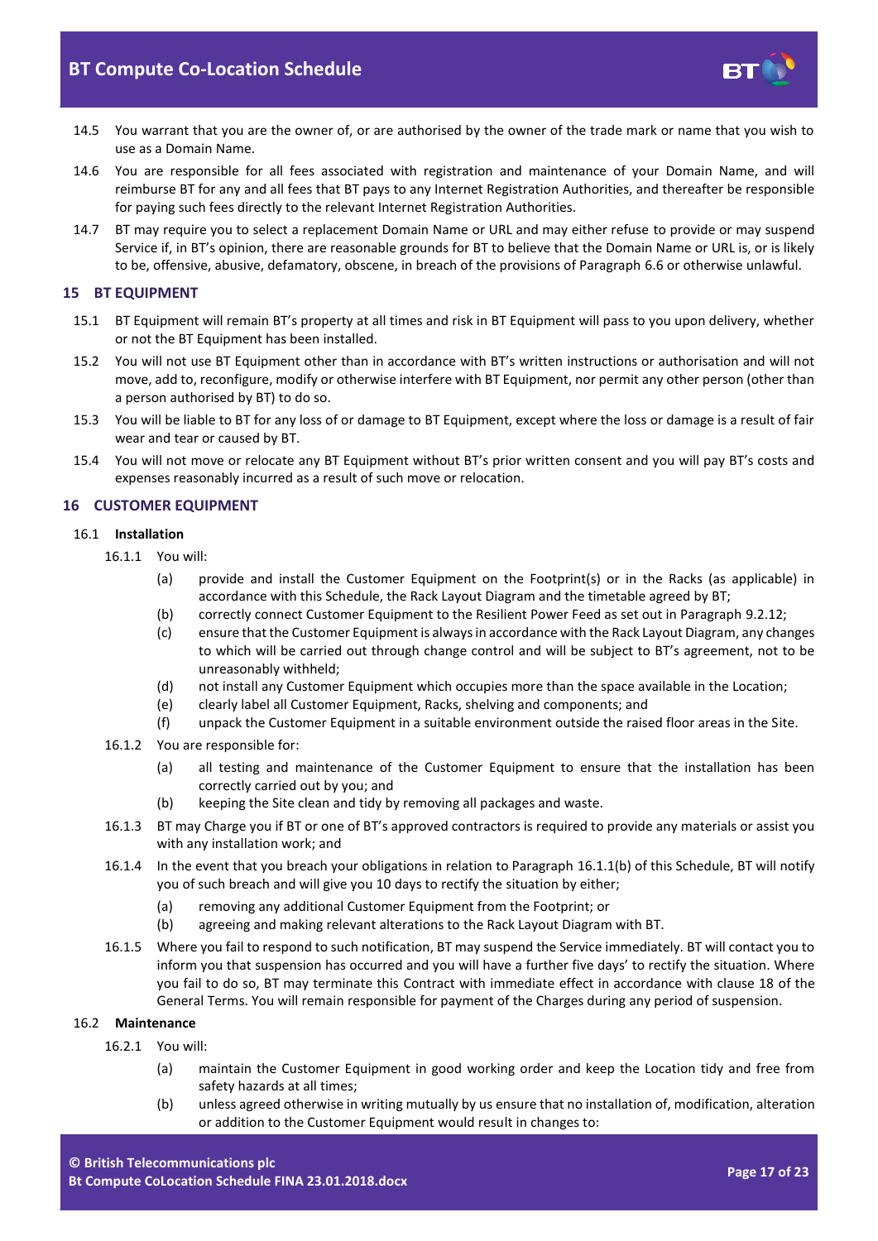

- 14.5 You warrant that you are the owner of, or are authorised by the owner of the trade mark or name that you wish to use as a Domain Name.
- 14.6 You are responsible for all fees associated with registration and maintenance of your Domain Name, and will reimburse BT for any and all fees that BT pays to any Internet Registration Authorities, and thereafter be responsible for paying such fees directly to the relevant Internet Registration Authorities.
- 14.7 BT may require you to select a replacement Domain Name or URL and may either refuse to provide or may suspend Service if, in BT's opinion, there are reasonable grounds for BT to believe that the Domain Name or URL is, or is likely to be, offensive, abusive, defamatory, obscene, in breach of the provisions of Paragraph [6.6](#page-5-0) or otherwise unlawful.

## <span id="page-16-0"></span>**15 BT EQUIPMENT**

- 15.1 BT Equipment will remain BT's property at all times and risk in BT Equipment will pass to you upon delivery, whether or not the BT Equipment has been installed.
- 15.2 You will not use BT Equipment other than in accordance with BT's written instructions or authorisation and will not move, add to, reconfigure, modify or otherwise interfere with BT Equipment, nor permit any other person (other than a person authorised by BT) to do so.
- 15.3 You will be liable to BT for any loss of or damage to BT Equipment, except where the loss or damage is a result of fair wear and tear or caused by BT.
- 15.4 You will not move or relocate any BT Equipment without BT's prior written consent and you will pay BT's costs and expenses reasonably incurred as a result of such move or relocation.

## <span id="page-16-1"></span>**16 CUSTOMER EQUIPMENT**

## 16.1 **Installation**

- <span id="page-16-2"></span>16.1.1 You will:
	- (a) provide and install the Customer Equipment on the Footprint(s) or in the Racks (as applicable) in accordance with this Schedule, the Rack Layout Diagram and the timetable agreed by BT;
	- (b) correctly connect Customer Equipment to the Resilient Power Feed as set out in Paragraph [9.2.12;](#page-11-0)
	- (c) ensure that the Customer Equipment is always in accordance with the Rack Layout Diagram, any changes to which will be carried out through change control and will be subject to BT's agreement, not to be unreasonably withheld;
	- (d) not install any Customer Equipment which occupies more than the space available in the Location;
	- (e) clearly label all Customer Equipment, Racks, shelving and components; and
	- (f) unpack the Customer Equipment in a suitable environment outside the raised floor areas in the Site.
- 16.1.2 You are responsible for:
	- (a) all testing and maintenance of the Customer Equipment to ensure that the installation has been correctly carried out by you; and
	- (b) keeping the Site clean and tidy by removing all packages and waste.
- 16.1.3 BT may Charge you if BT or one of BT's approved contractors is required to provide any materials or assist you with any installation work; and
- 16.1.4 In the event that you breach your obligations in relation to Paragraph [16.1.1\(b\)](#page-16-2) of this Schedule, BT will notify you of such breach and will give you 10 days to rectify the situation by either;
	- (a) removing any additional Customer Equipment from the Footprint; or
	- (b) agreeing and making relevant alterations to the Rack Layout Diagram with BT.
- 16.1.5 Where you fail to respond to such notification, BT may suspend the Service immediately. BT will contact you to inform you that suspension has occurred and you will have a further five days' to rectify the situation. Where you fail to do so, BT may terminate this Contract with immediate effect in accordance with clause 18 of the General Terms. You will remain responsible for payment of the Charges during any period of suspension.

## 16.2 **Maintenance**

- 16.2.1 You will:
	- (a) maintain the Customer Equipment in good working order and keep the Location tidy and free from safety hazards at all times;
	- (b) unless agreed otherwise in writing mutually by us ensure that no installation of, modification, alteration or addition to the Customer Equipment would result in changes to: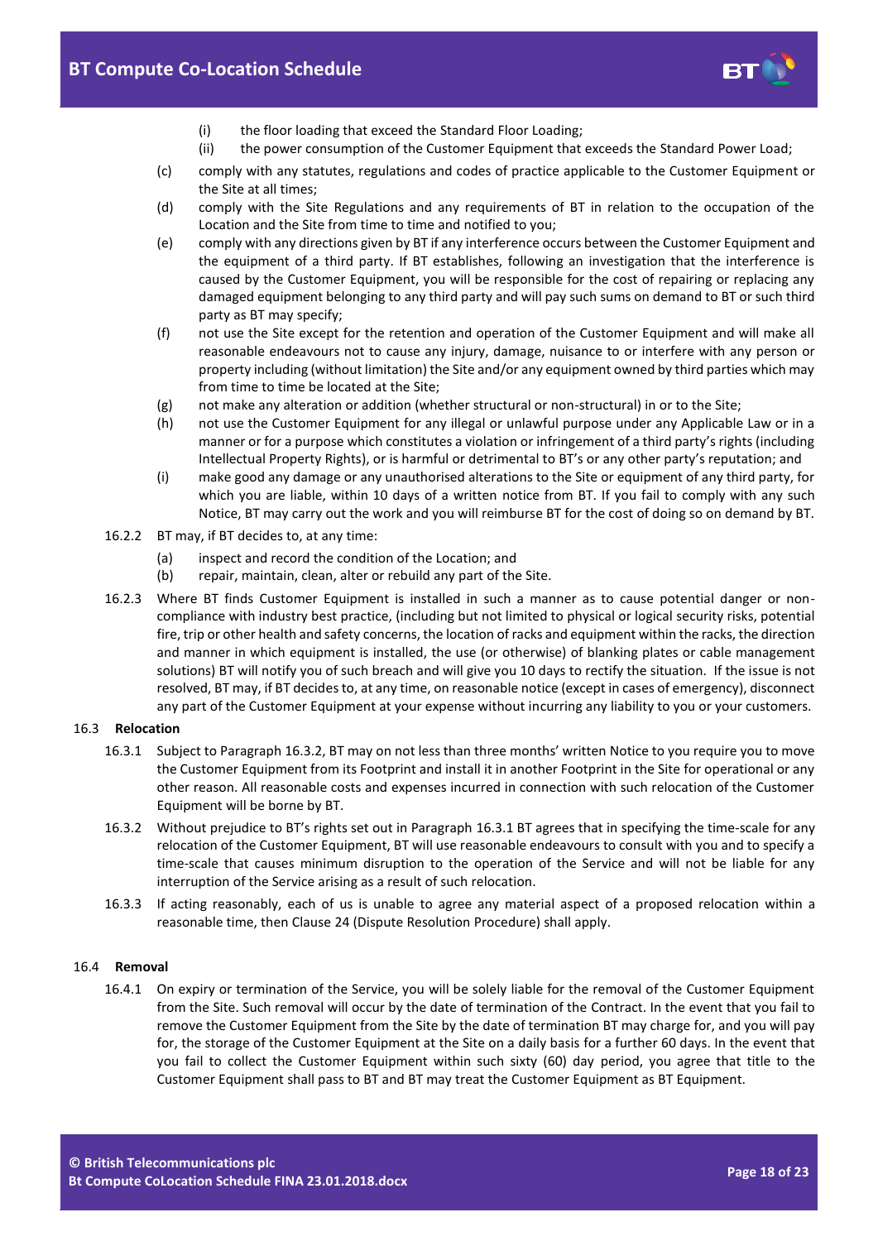

- (i) the floor loading that exceed the Standard Floor Loading;
- (ii) the power consumption of the Customer Equipment that exceeds the Standard Power Load;
- (c) comply with any statutes, regulations and codes of practice applicable to the Customer Equipment or the Site at all times;
- (d) comply with the Site Regulations and any requirements of BT in relation to the occupation of the Location and the Site from time to time and notified to you;
- (e) comply with any directions given by BT if any interference occurs between the Customer Equipment and the equipment of a third party. If BT establishes, following an investigation that the interference is caused by the Customer Equipment, you will be responsible for the cost of repairing or replacing any damaged equipment belonging to any third party and will pay such sums on demand to BT or such third party as BT may specify;
- (f) not use the Site except for the retention and operation of the Customer Equipment and will make all reasonable endeavours not to cause any injury, damage, nuisance to or interfere with any person or property including (without limitation) the Site and/or any equipment owned by third parties which may from time to time be located at the Site;
- (g) not make any alteration or addition (whether structural or non-structural) in or to the Site;
- (h) not use the Customer Equipment for any illegal or unlawful purpose under any Applicable Law or in a manner or for a purpose which constitutes a violation or infringement of a third party's rights (including Intellectual Property Rights), or is harmful or detrimental to BT's or any other party's reputation; and
- (i) make good any damage or any unauthorised alterations to the Site or equipment of any third party, for which you are liable, within 10 days of a written notice from BT. If you fail to comply with any such Notice, BT may carry out the work and you will reimburse BT for the cost of doing so on demand by BT.
- 16.2.2 BT may, if BT decides to, at any time:
	- (a) inspect and record the condition of the Location; and
	- (b) repair, maintain, clean, alter or rebuild any part of the Site.
- 16.2.3 Where BT finds Customer Equipment is installed in such a manner as to cause potential danger or noncompliance with industry best practice, (including but not limited to physical or logical security risks, potential fire, trip or other health and safety concerns, the location of racks and equipment within the racks, the direction and manner in which equipment is installed, the use (or otherwise) of blanking plates or cable management solutions) BT will notify you of such breach and will give you 10 days to rectify the situation. If the issue is not resolved, BT may, if BT decides to, at any time, on reasonable notice (except in cases of emergency), disconnect any part of the Customer Equipment at your expense without incurring any liability to you or your customers.

#### <span id="page-17-2"></span>16.3 **Relocation**

- 16.3.1 Subject to Paragrap[h 16.3.2](#page-17-1), BT may on not less than three months' written Notice to you require you to move the Customer Equipment from its Footprint and install it in another Footprint in the Site for operational or any other reason. All reasonable costs and expenses incurred in connection with such relocation of the Customer Equipment will be borne by BT.
- <span id="page-17-1"></span>16.3.2 Without prejudice to BT's rights set out in Paragraph [16.3.1](#page-17-2) BT agrees that in specifying the time-scale for any relocation of the Customer Equipment, BT will use reasonable endeavours to consult with you and to specify a time-scale that causes minimum disruption to the operation of the Service and will not be liable for any interruption of the Service arising as a result of such relocation.
- 16.3.3 If acting reasonably, each of us is unable to agree any material aspect of a proposed relocation within a reasonable time, then Clause 24 (Dispute Resolution Procedure) shall apply.

#### <span id="page-17-0"></span>16.4 **Removal**

16.4.1 On expiry or termination of the Service, you will be solely liable for the removal of the Customer Equipment from the Site. Such removal will occur by the date of termination of the Contract. In the event that you fail to remove the Customer Equipment from the Site by the date of termination BT may charge for, and you will pay for, the storage of the Customer Equipment at the Site on a daily basis for a further 60 days. In the event that you fail to collect the Customer Equipment within such sixty (60) day period, you agree that title to the Customer Equipment shall pass to BT and BT may treat the Customer Equipment as BT Equipment.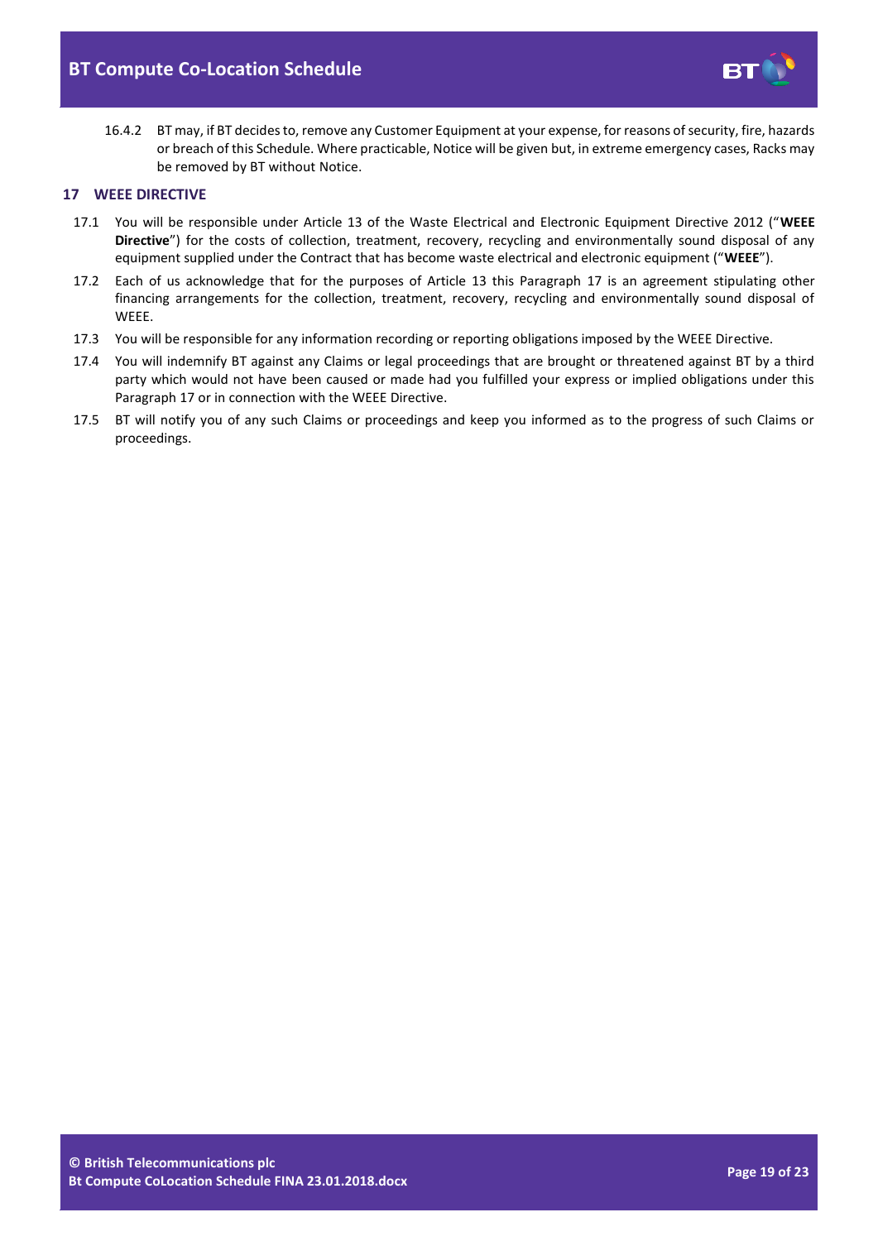

16.4.2 BT may, if BT decides to, remove any Customer Equipment at your expense, for reasons of security, fire, hazards or breach of this Schedule. Where practicable, Notice will be given but, in extreme emergency cases, Racks may be removed by BT without Notice.

## <span id="page-18-0"></span>**17 WEEE DIRECTIVE**

- 17.1 You will be responsible under Article 13 of the Waste Electrical and Electronic Equipment Directive 2012 ("**WEEE Directive**") for the costs of collection, treatment, recovery, recycling and environmentally sound disposal of any equipment supplied under the Contract that has become waste electrical and electronic equipment ("**WEEE**").
- 17.2 Each of us acknowledge that for the purposes of Article 13 this Paragraph [17](#page-18-0) is an agreement stipulating other financing arrangements for the collection, treatment, recovery, recycling and environmentally sound disposal of WEEE.
- 17.3 You will be responsible for any information recording or reporting obligations imposed by the WEEE Directive.
- 17.4 You will indemnify BT against any Claims or legal proceedings that are brought or threatened against BT by a third party which would not have been caused or made had you fulfilled your express or implied obligations under this Paragraph [17](#page-18-0) or in connection with the WEEE Directive.
- 17.5 BT will notify you of any such Claims or proceedings and keep you informed as to the progress of such Claims or proceedings.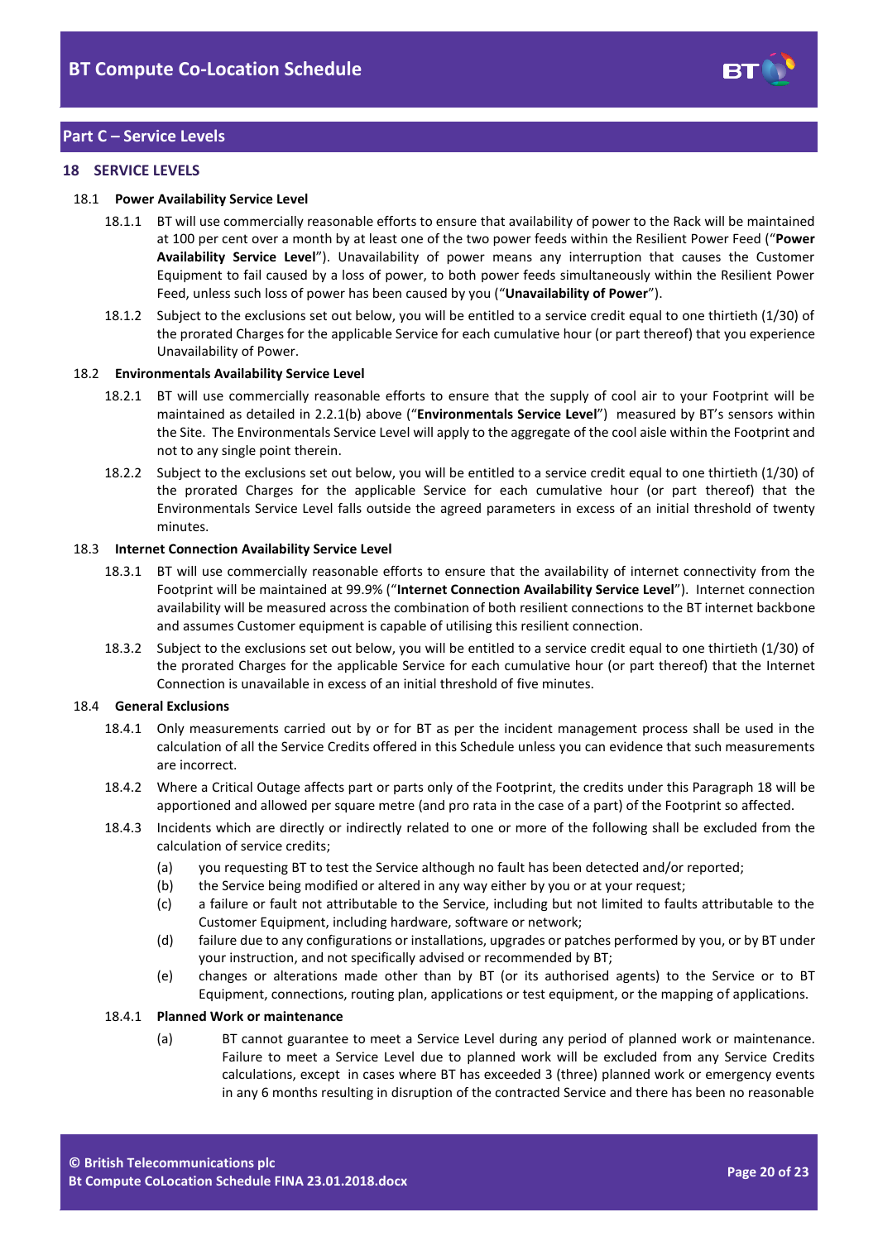

## **Part C – Service Levels**

## <span id="page-19-0"></span>**18 SERVICE LEVELS**

#### <span id="page-19-5"></span><span id="page-19-2"></span>18.1 **Power Availability Service Level**

- 18.1.1 BT will use commercially reasonable efforts to ensure that availability of power to the Rack will be maintained at 100 per cent over a month by at least one of the two power feeds within the Resilient Power Feed ("**Power Availability Service Level**"). Unavailability of power means any interruption that causes the Customer Equipment to fail caused by a loss of power, to both power feeds simultaneously within the Resilient Power Feed, unless such loss of power has been caused by you ("**Unavailability of Power**").
- 18.1.2 Subject to the exclusions set out below, you will be entitled to a service credit equal to one thirtieth (1/30) of the prorated Charges for the applicable Service for each cumulative hour (or part thereof) that you experience Unavailability of Power.

#### <span id="page-19-3"></span>18.2 **Environmentals Availability Service Level**

- 18.2.1 BT will use commercially reasonable efforts to ensure that the supply of cool air to your Footprint will be maintained as detailed in [2.2.1\(b\)](#page-1-3) above ("**Environmentals Service Level**") measured by BT's sensors within the Site. The Environmentals Service Level will apply to the aggregate of the cool aisle within the Footprint and not to any single point therein.
- 18.2.2 Subject to the exclusions set out below, you will be entitled to a service credit equal to one thirtieth (1/30) of the prorated Charges for the applicable Service for each cumulative hour (or part thereof) that the Environmentals Service Level falls outside the agreed parameters in excess of an initial threshold of twenty minutes.

#### <span id="page-19-4"></span>18.3 **Internet Connection Availability Service Level**

- 18.3.1 BT will use commercially reasonable efforts to ensure that the availability of internet connectivity from the Footprint will be maintained at 99.9% ("**Internet Connection Availability Service Level**"). Internet connection availability will be measured across the combination of both resilient connections to the BT internet backbone and assumes Customer equipment is capable of utilising this resilient connection.
- 18.3.2 Subject to the exclusions set out below, you will be entitled to a service credit equal to one thirtieth (1/30) of the prorated Charges for the applicable Service for each cumulative hour (or part thereof) that the Internet Connection is unavailable in excess of an initial threshold of five minutes.

#### 18.4 **General Exclusions**

- 18.4.1 Only measurements carried out by or for BT as per the incident management process shall be used in the calculation of all the Service Credits offered in this Schedule unless you can evidence that such measurements are incorrect.
- 18.4.2 Where a Critical Outage affects part or parts only of the Footprint, the credits under this Paragrap[h 18](#page-19-0) will be apportioned and allowed per square metre (and pro rata in the case of a part) of the Footprint so affected.
- 18.4.3 Incidents which are directly or indirectly related to one or more of the following shall be excluded from the calculation of service credits;
	- (a) you requesting BT to test the Service although no fault has been detected and/or reported;
	- (b) the Service being modified or altered in any way either by you or at your request;
	- (c) a failure or fault not attributable to the Service, including but not limited to faults attributable to the Customer Equipment, including hardware, software or network;
	- (d) failure due to any configurations or installations, upgrades or patches performed by you, or by BT under your instruction, and not specifically advised or recommended by BT;
	- (e) changes or alterations made other than by BT (or its authorised agents) to the Service or to BT Equipment, connections, routing plan, applications or test equipment, or the mapping of applications.

#### <span id="page-19-1"></span>18.4.1 **Planned Work or maintenance**

(a) BT cannot guarantee to meet a Service Level during any period of planned work or maintenance. Failure to meet a Service Level due to planned work will be excluded from any Service Credits calculations, except in cases where BT has exceeded 3 (three) planned work or emergency events in any 6 months resulting in disruption of the contracted Service and there has been no reasonable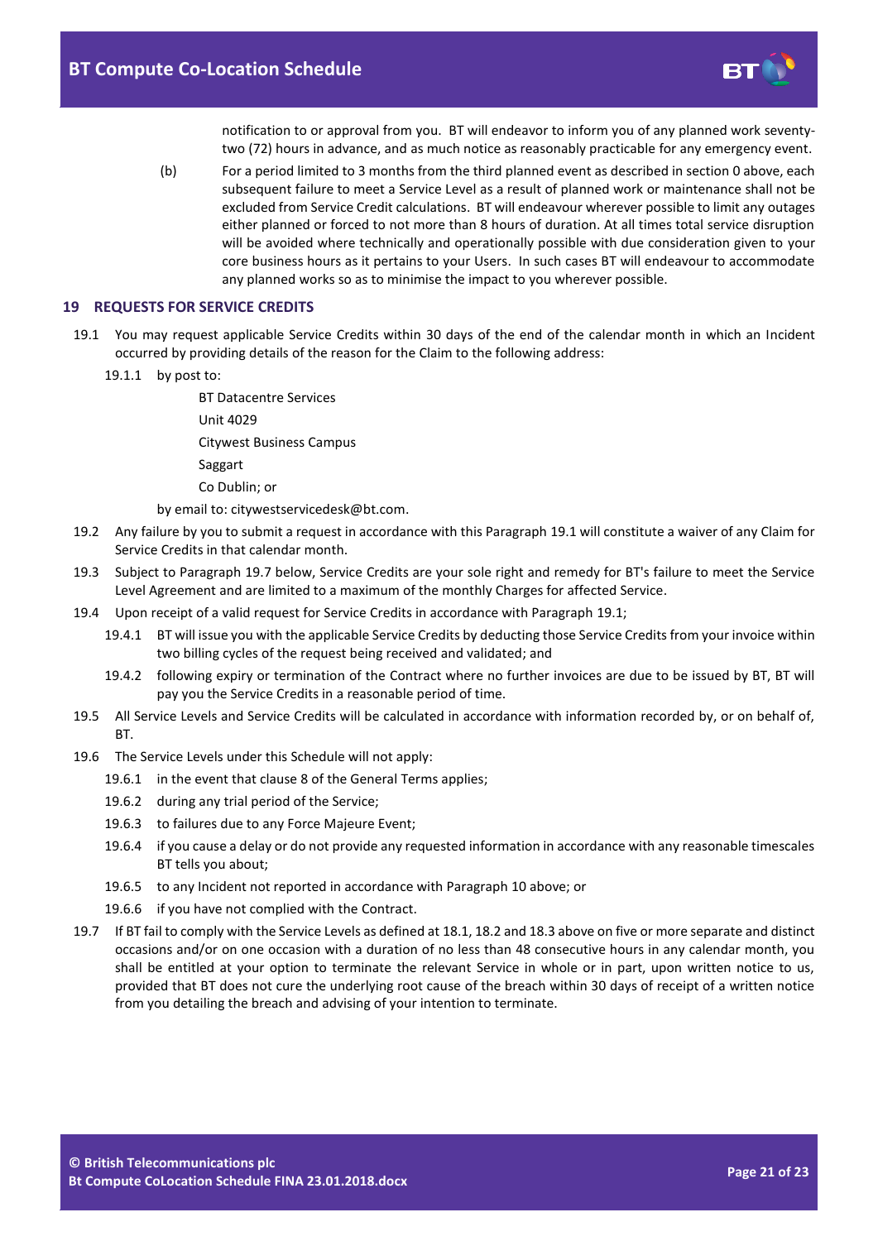

notification to or approval from you. BT will endeavor to inform you of any planned work seventytwo (72) hours in advance, and as much notice as reasonably practicable for any emergency event.

(b) For a period limited to 3 months from the third planned event as described in section [0](#page-19-1) above, each subsequent failure to meet a Service Level as a result of planned work or maintenance shall not be excluded from Service Credit calculations. BT will endeavour wherever possible to limit any outages either planned or forced to not more than 8 hours of duration. At all times total service disruption will be avoided where technically and operationally possible with due consideration given to your core business hours as it pertains to your Users. In such cases BT will endeavour to accommodate any planned works so as to minimise the impact to you wherever possible.

#### **19 REQUESTS FOR SERVICE CREDITS**

- <span id="page-20-0"></span>19.1 You may request applicable Service Credits within 30 days of the end of the calendar month in which an Incident occurred by providing details of the reason for the Claim to the following address:
	- 19.1.1 by post to:

BT Datacentre Services Unit 4029 Citywest Business Campus Saggart Co Dublin; or

by email to: citywestservicedesk@bt.com.

- 19.2 Any failure by you to submit a request in accordance with this Paragrap[h 19.1](#page-20-0) will constitute a waiver of any Claim for Service Credits in that calendar month.
- 19.3 Subject to Paragraph 19.7 below, Service Credits are your sole right and remedy for BT's failure to meet the Service Level Agreement and are limited to a maximum of the monthly Charges for affected Service.
- 19.4 Upon receipt of a valid request for Service Credits in accordance with Paragraph [19.1;](#page-20-0)
	- 19.4.1 BT will issue you with the applicable Service Credits by deducting those Service Credits from your invoice within two billing cycles of the request being received and validated; and
	- 19.4.2 following expiry or termination of the Contract where no further invoices are due to be issued by BT, BT will pay you the Service Credits in a reasonable period of time.
- 19.5 All Service Levels and Service Credits will be calculated in accordance with information recorded by, or on behalf of, **RT.**
- 19.6 The Service Levels under this Schedule will not apply:
	- 19.6.1 in the event that clause 8 of the General Terms applies;
	- 19.6.2 during any trial period of the Service;
	- 19.6.3 to failures due to any Force Majeure Event;
	- 19.6.4 if you cause a delay or do not provide any requested information in accordance with any reasonable timescales BT tells you about;
	- 19.6.5 to any Incident not reported in accordance with Paragraph [10](#page-12-0) above; or
	- 19.6.6 if you have not complied with the Contract.
- 19.7 If BT fail to comply with the Service Levels as defined a[t 18.1,](#page-19-2) [18.2](#page-19-3) an[d 18.3](#page-19-4) above on five or more separate and distinct occasions and/or on one occasion with a duration of no less than 48 consecutive hours in any calendar month, you shall be entitled at your option to terminate the relevant Service in whole or in part, upon written notice to us, provided that BT does not cure the underlying root cause of the breach within 30 days of receipt of a written notice from you detailing the breach and advising of your intention to terminate.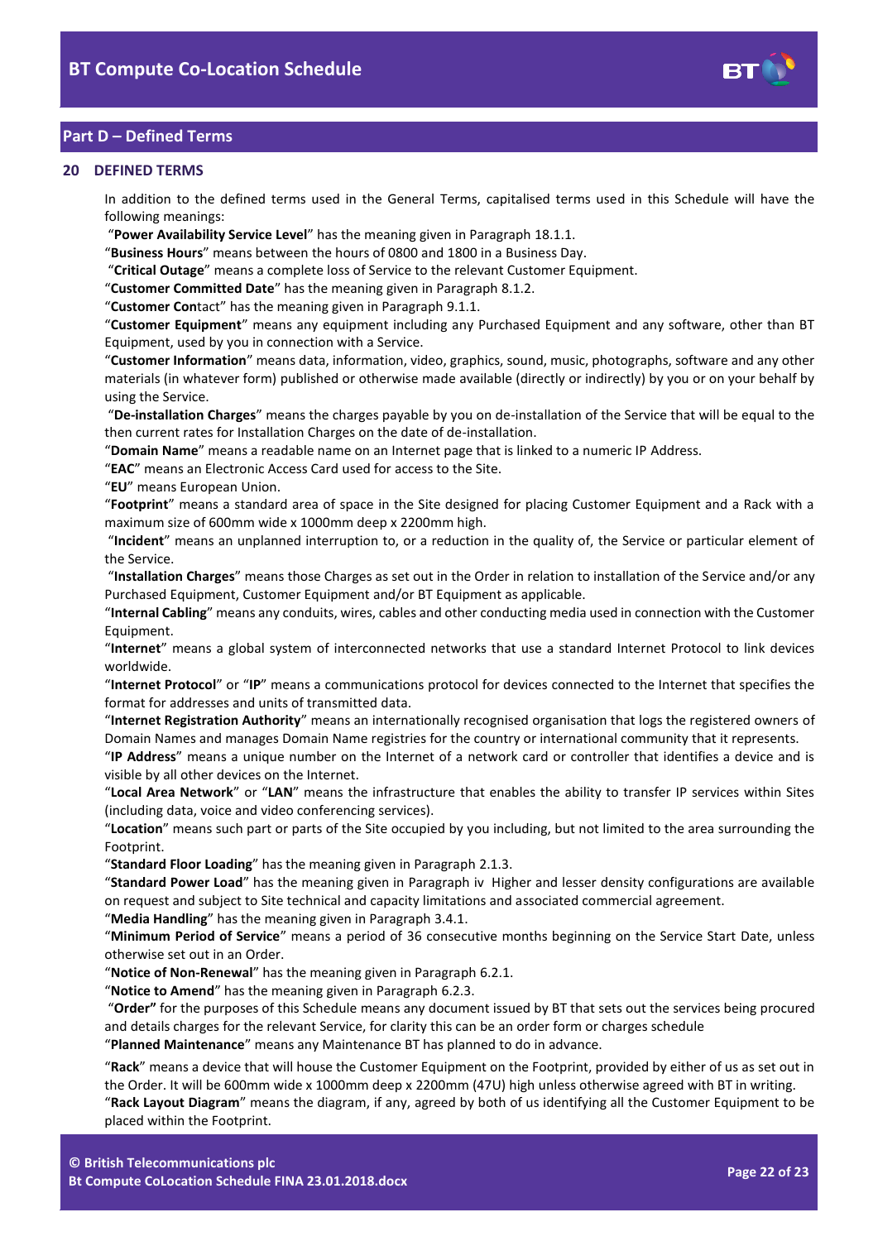

# **Part D – Defined Terms**

## <span id="page-21-0"></span>**20 DEFINED TERMS**

In addition to the defined terms used in the General Terms, capitalised terms used in this Schedule will have the following meanings:

"**Power Availability Service Level**" has the meaning given in Paragrap[h 18.1.1.](#page-19-5)

"**Business Hours**" means between the hours of 0800 and 1800 in a Business Day.

"**Critical Outage**" means a complete loss of Service to the relevant Customer Equipment.

"**Customer Committed Date**" has the meaning given in Paragraph [8.1.2.](#page-8-3)

"**Customer Con**tact" has the meaning given in Paragraph [9.1.1.](#page-9-1)

"**Customer Equipment**" means any equipment including any Purchased Equipment and any software, other than BT Equipment, used by you in connection with a Service.

"**Customer Information**" means data, information, video, graphics, sound, music, photographs, software and any other materials (in whatever form) published or otherwise made available (directly or indirectly) by you or on your behalf by using the Service.

"**De-installation Charges**" means the charges payable by you on de-installation of the Service that will be equal to the then current rates for Installation Charges on the date of de-installation.

"**Domain Name**" means a readable name on an Internet page that is linked to a numeric IP Address.

"**EAC**" means an Electronic Access Card used for access to the Site.

"**EU**" means European Union.

"**Footprint**" means a standard area of space in the Site designed for placing Customer Equipment and a Rack with a maximum size of 600mm wide x 1000mm deep x 2200mm high.

"**Incident**" means an unplanned interruption to, or a reduction in the quality of, the Service or particular element of the Service.

"**Installation Charges**" means those Charges as set out in the Order in relation to installation of the Service and/or any Purchased Equipment, Customer Equipment and/or BT Equipment as applicable.

"**Internal Cabling**" means any conduits, wires, cables and other conducting media used in connection with the Customer Equipment.

"**Internet**" means a global system of interconnected networks that use a standard Internet Protocol to link devices worldwide.

"**Internet Protocol**" or "**IP**" means a communications protocol for devices connected to the Internet that specifies the format for addresses and units of transmitted data.

"**Internet Registration Authority**" means an internationally recognised organisation that logs the registered owners of Domain Names and manages Domain Name registries for the country or international community that it represents.

"**IP Address**" means a unique number on the Internet of a network card or controller that identifies a device and is visible by all other devices on the Internet.

"**Local Area Network**" or "**LAN**" means the infrastructure that enables the ability to transfer IP services within Sites (including data, voice and video conferencing services).

"**Location**" means such part or parts of the Site occupied by you including, but not limited to the area surrounding the Footprint.

"**Standard Floor Loading**" has the meaning given in Paragraph [2.1.3.](#page-1-4)

"**Standard Power Load**" has the meaning given in Paragraph [iv](#page-1-5) Higher and lesser density configurations are available on request and subject to Site technical and capacity limitations and associated commercial agreement.

"**Media Handling**" has the meaning given in Paragrap[h 3.4.1.](#page-3-5)

"**Minimum Period of Service**" means a period of 36 consecutive months beginning on the Service Start Date, unless otherwise set out in an Order.

"**Notice of Non-Renewal**" has the meaning given in Paragrap[h 6.2.1.](#page-3-6)

"**Notice to Amend**" has the meaning given in Paragraph [6.2.3.](#page-3-3)

"**Order"** for the purposes of this Schedule means any document issued by BT that sets out the services being procured and details charges for the relevant Service, for clarity this can be an order form or charges schedule

"**Planned Maintenance**" means any Maintenance BT has planned to do in advance.

"**Rack**" means a device that will house the Customer Equipment on the Footprint, provided by either of us as set out in the Order. It will be 600mm wide x 1000mm deep x 2200mm (47U) high unless otherwise agreed with BT in writing. "**Rack Layout Diagram**" means the diagram, if any, agreed by both of us identifying all the Customer Equipment to be placed within the Footprint.